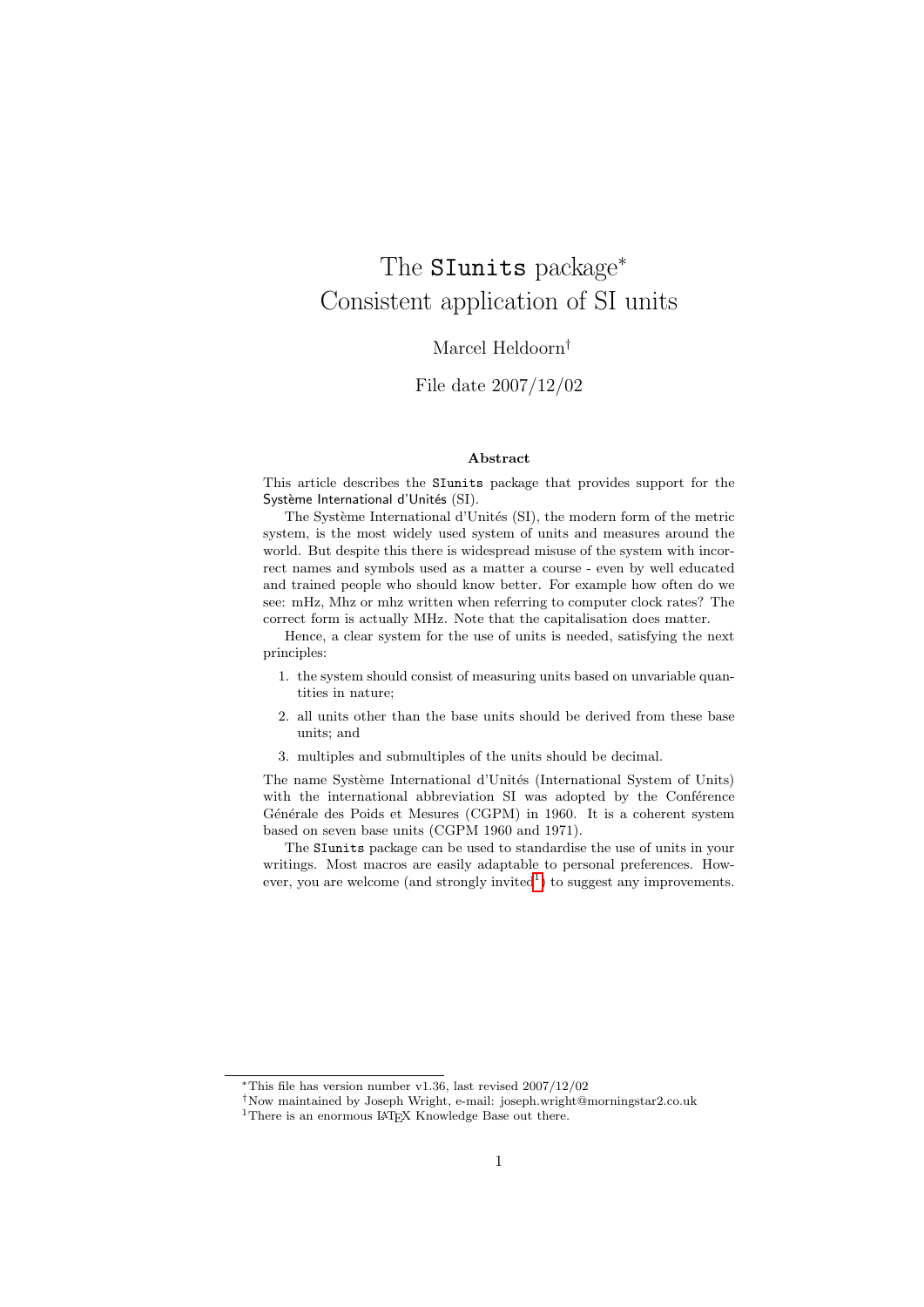# The SIunits package<sup>∗</sup> Consistent application of SI units

# Marcel Heldoorn†

# File date 2007/12/02

### Abstract

This article describes the SIunits package that provides support for the Système International d'Unités (SI).

The Système International d'Unités (SI), the modern form of the metric system, is the most widely used system of units and measures around the world. But despite this there is widespread misuse of the system with incorrect names and symbols used as a matter a course - even by well educated and trained people who should know better. For example how often do we see: mHz, Mhz or mhz written when referring to computer clock rates? The correct form is actually MHz. Note that the capitalisation does matter.

Hence, a clear system for the use of units is needed, satisfying the next principles:

- 1. the system should consist of measuring units based on unvariable quantities in nature;
- 2. all units other than the base units should be derived from these base units; and
- 3. multiples and submultiples of the units should be decimal.

The name Système International d'Unités (International System of Units) with the international abbreviation SI was adopted by the Conference Générale des Poids et Mesures (CGPM) in 1960. It is a coherent system based on seven base units (CGPM 1960 and 1971).

The SIunits package can be used to standardise the use of units in your writings. Most macros are easily adaptable to personal preferences. How-ever, you are welcome (and strongly invited<sup>[1](#page-0-0)</sup>) to suggest any improvements.

<sup>∗</sup>This file has version number v1.36, last revised 2007/12/02

<sup>†</sup>Now maintained by Joseph Wright, e-mail: joseph.wright@morningstar2.co.uk

<span id="page-0-0"></span><sup>&</sup>lt;sup>1</sup>There is an enormous LAT<sub>EX</sub> Knowledge Base out there.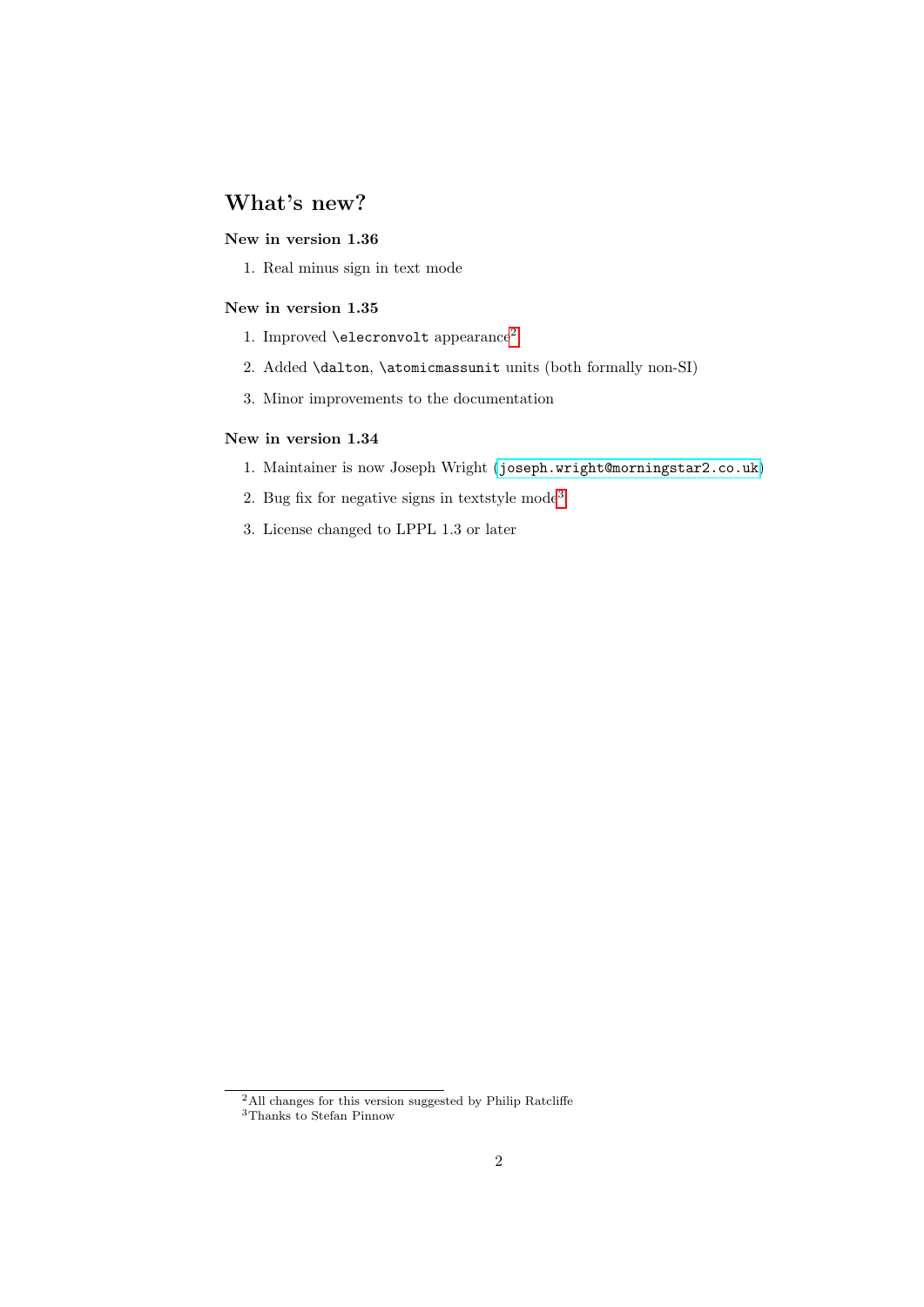# What's new?

# New in version 1.36

1. Real minus sign in text mode

# New in version 1.35

- 1. Improved **\elecronvolt** appearance<sup>[2](#page-1-0)</sup>
- 2. Added \dalton, \atomicmassunit units (both formally non-SI)
- 3. Minor improvements to the documentation

## New in version 1.34

- 1. Maintainer is now Joseph Wright ([joseph.wright@morningstar2.co.uk](mailto:joseph.wright@morningstar2.co.uk))
- 2. Bug fix for negative signs in textstyle mode<sup>[3](#page-1-1)</sup>
- 3. License changed to LPPL 1.3 or later

<span id="page-1-0"></span><sup>&</sup>lt;sup>2</sup>All changes for this version suggested by Philip Ratcliffe

<span id="page-1-1"></span><sup>3</sup>Thanks to Stefan Pinnow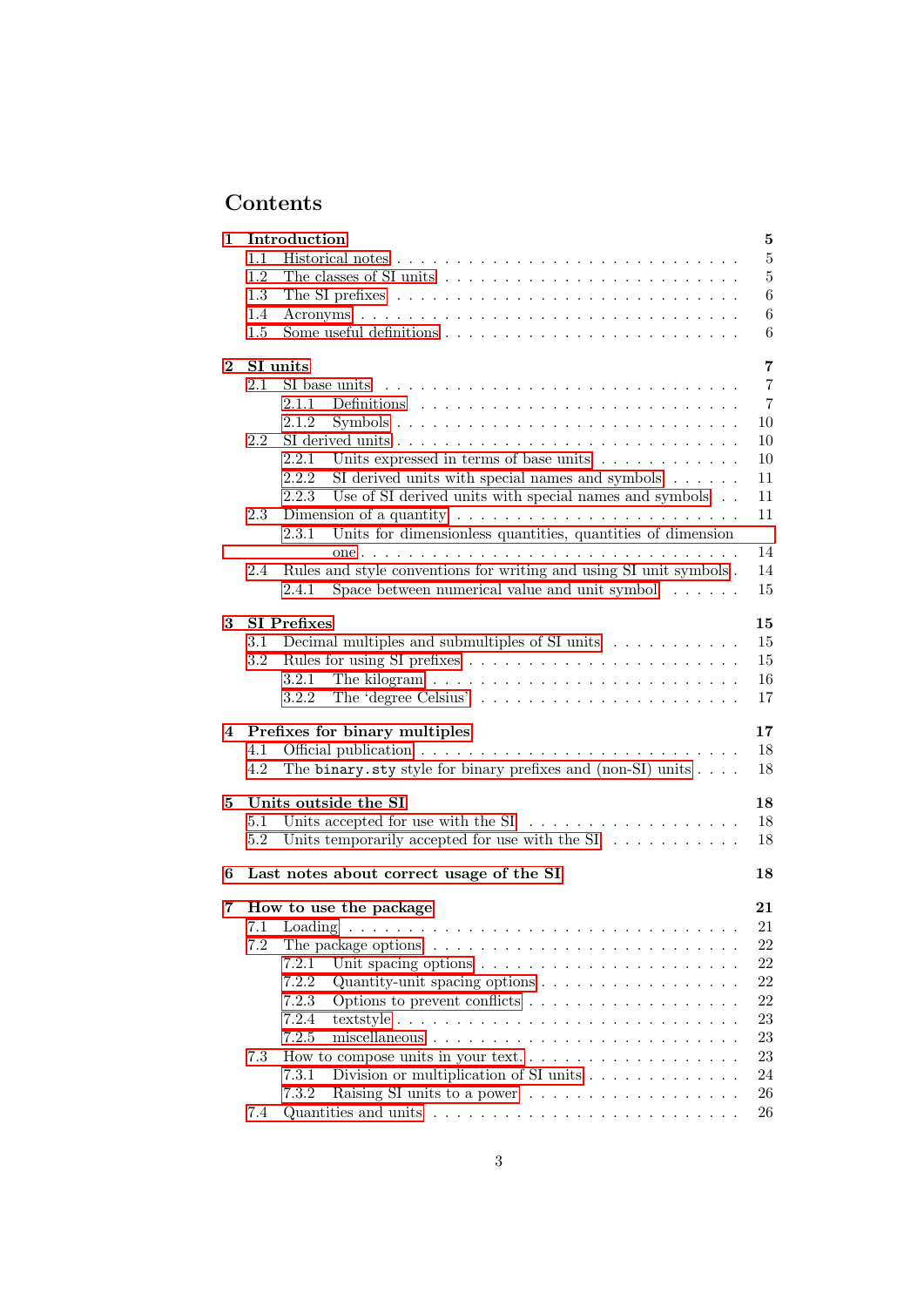# Contents

| 1            |         | Introduction                                                                          | $\bf 5$        |
|--------------|---------|---------------------------------------------------------------------------------------|----------------|
|              | 1.1     |                                                                                       | $\bf 5$        |
|              | 1.2     | The classes of SI units $\dots \dots \dots \dots \dots \dots \dots \dots \dots \dots$ | $\overline{5}$ |
|              | 1.3     |                                                                                       | 6              |
|              | 1.4     |                                                                                       | 6              |
|              | 1.5     |                                                                                       | 6              |
| $\mathbf{2}$ |         | SI units                                                                              | $\overline{7}$ |
|              | 2.1     | SI base units $\ldots \ldots \ldots \ldots \ldots \ldots \ldots \ldots \ldots$        | $\overline{7}$ |
|              |         | 2.1.1                                                                                 | $\overline{7}$ |
|              |         | 2.1.2                                                                                 | 10             |
|              | 2.2     |                                                                                       | 10             |
|              |         | Units expressed in terms of base units<br>2.2.1                                       | 10             |
|              |         | 2.2.2<br>SI derived units with special names and symbols $\ldots \ldots$              | 11             |
|              |         | 2.2.3<br>Use of SI derived units with special names and symbols                       | 11             |
|              | 2.3     | Dimension of a quantity $\dots \dots \dots \dots \dots \dots \dots \dots \dots$       | 11             |
|              |         | 2.3.1<br>Units for dimensionless quantities, quantities of dimension                  | 14             |
|              | 2.4     | Rules and style conventions for writing and using SI unit symbols.                    | 14             |
|              |         | Space between numerical value and unit symbol $\ldots \ldots$<br>2.4.1                | 15             |
|              |         |                                                                                       |                |
| 3            |         | <b>SI</b> Prefixes                                                                    | 15             |
|              | 3.1     | Decimal multiples and submultiples of $SI$ units $\ldots \ldots \ldots$               | 15             |
|              | 3.2     |                                                                                       | 15             |
|              |         | 3.2.1                                                                                 | 16             |
|              |         | 3.2.2                                                                                 | 17             |
|              |         | 4 Prefixes for binary multiples                                                       | 17             |
|              | 4.1     |                                                                                       | 18             |
|              | 4.2     | The binary sty style for binary prefixes and (non-SI) units $\ldots$ .                | 18             |
| 5.           |         | Units outside the SI                                                                  | 18             |
|              | $5.1\,$ | Units accepted for use with the $SI \dots \dots \dots \dots \dots \dots$              | 18             |
|              | 5.2     | Units temporarily accepted for use with the $SI \dots \dots \dots$                    | 18             |
| 6            |         | Last notes about correct usage of the SI                                              | 18             |
| 7            |         | How to use the package                                                                | 21             |
|              |         |                                                                                       | $21\,$         |
|              | 7.2     | The package options $\dots \dots \dots \dots \dots \dots \dots \dots \dots \dots$     | 22             |
|              |         | 7.2.1<br>Unit spacing options $\ldots \ldots \ldots \ldots \ldots \ldots \ldots$      | 22             |
|              |         | 7.2.2<br>Quantity-unit spacing options $\dots \dots \dots \dots \dots \dots$          | 22             |
|              |         | 7.2.3                                                                                 | 22             |
|              |         | 7.2.4                                                                                 | 23             |
|              |         | 7.2.5                                                                                 | 23             |
|              | 7.3     |                                                                                       | 23             |
|              |         | 7.3.1                                                                                 | 24             |
|              |         | 7.3.2                                                                                 | 26             |
|              | 7.4     | Quantities and units $\dots \dots \dots \dots \dots \dots \dots \dots \dots \dots$    | 26             |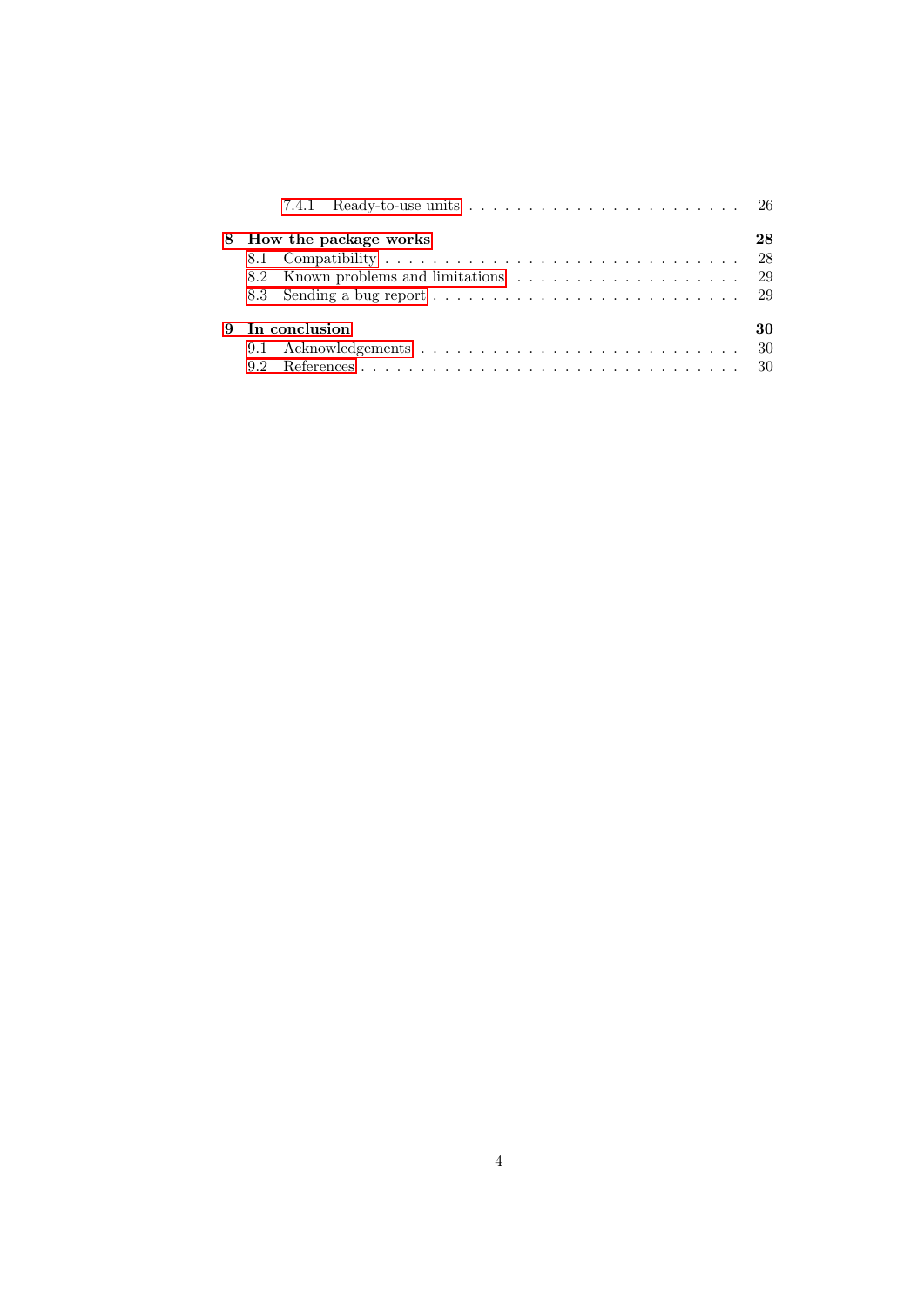| 7.4.1 Ready-to-use units $\ldots \ldots \ldots \ldots \ldots \ldots \ldots \ldots 26$ |    |
|---------------------------------------------------------------------------------------|----|
| 8 How the package works                                                               | 28 |
|                                                                                       |    |
|                                                                                       |    |
|                                                                                       |    |
| 9 In conclusion                                                                       | 30 |
|                                                                                       |    |
|                                                                                       |    |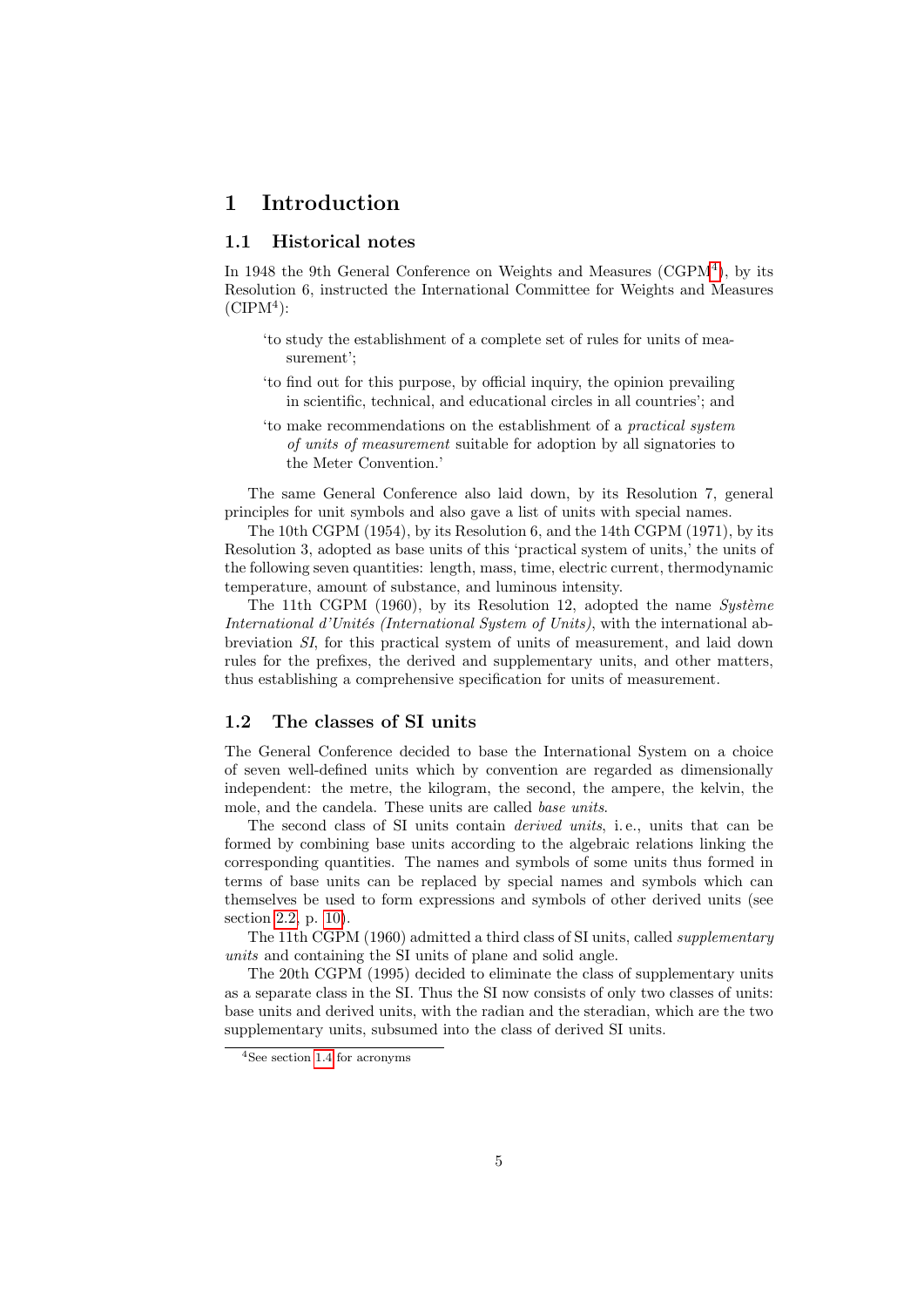# <span id="page-4-0"></span>1 Introduction

# <span id="page-4-1"></span>1.1 Historical notes

In 19[4](#page-4-3)8 the 9th General Conference on Weights and Measures  $(\text{CGPM}^4)$ , by its Resolution 6, instructed the International Committee for Weights and Measures  $(CIPM<sup>4</sup>)$ :

- 'to study the establishment of a complete set of rules for units of measurement';
- 'to find out for this purpose, by official inquiry, the opinion prevailing in scientific, technical, and educational circles in all countries'; and
- 'to make recommendations on the establishment of a practical system of units of measurement suitable for adoption by all signatories to the Meter Convention.'

The same General Conference also laid down, by its Resolution 7, general principles for unit symbols and also gave a list of units with special names.

The 10th CGPM (1954), by its Resolution 6, and the 14th CGPM (1971), by its Resolution 3, adopted as base units of this 'practical system of units,' the units of the following seven quantities: length, mass, time, electric current, thermodynamic temperature, amount of substance, and luminous intensity.

The 11th CGPM  $(1960)$ , by its Resolution 12, adopted the name Système International d'Unités (International System of Units), with the international abbreviation SI, for this practical system of units of measurement, and laid down rules for the prefixes, the derived and supplementary units, and other matters, thus establishing a comprehensive specification for units of measurement.

# <span id="page-4-2"></span>1.2 The classes of SI units

The General Conference decided to base the International System on a choice of seven well-defined units which by convention are regarded as dimensionally independent: the metre, the kilogram, the second, the ampere, the kelvin, the mole, and the candela. These units are called base units.

The second class of SI units contain derived units, i. e., units that can be formed by combining base units according to the algebraic relations linking the corresponding quantities. The names and symbols of some units thus formed in terms of base units can be replaced by special names and symbols which can themselves be used to form expressions and symbols of other derived units (see section [2.2,](#page-9-1) p. [10\)](#page-9-1).

The 11th CGPM (1960) admitted a third class of SI units, called supplementary units and containing the SI units of plane and solid angle.

The 20th CGPM (1995) decided to eliminate the class of supplementary units as a separate class in the SI. Thus the SI now consists of only two classes of units: base units and derived units, with the radian and the steradian, which are the two supplementary units, subsumed into the class of derived SI units.

<span id="page-4-3"></span><sup>4</sup>See section [1.4](#page-5-1) for acronyms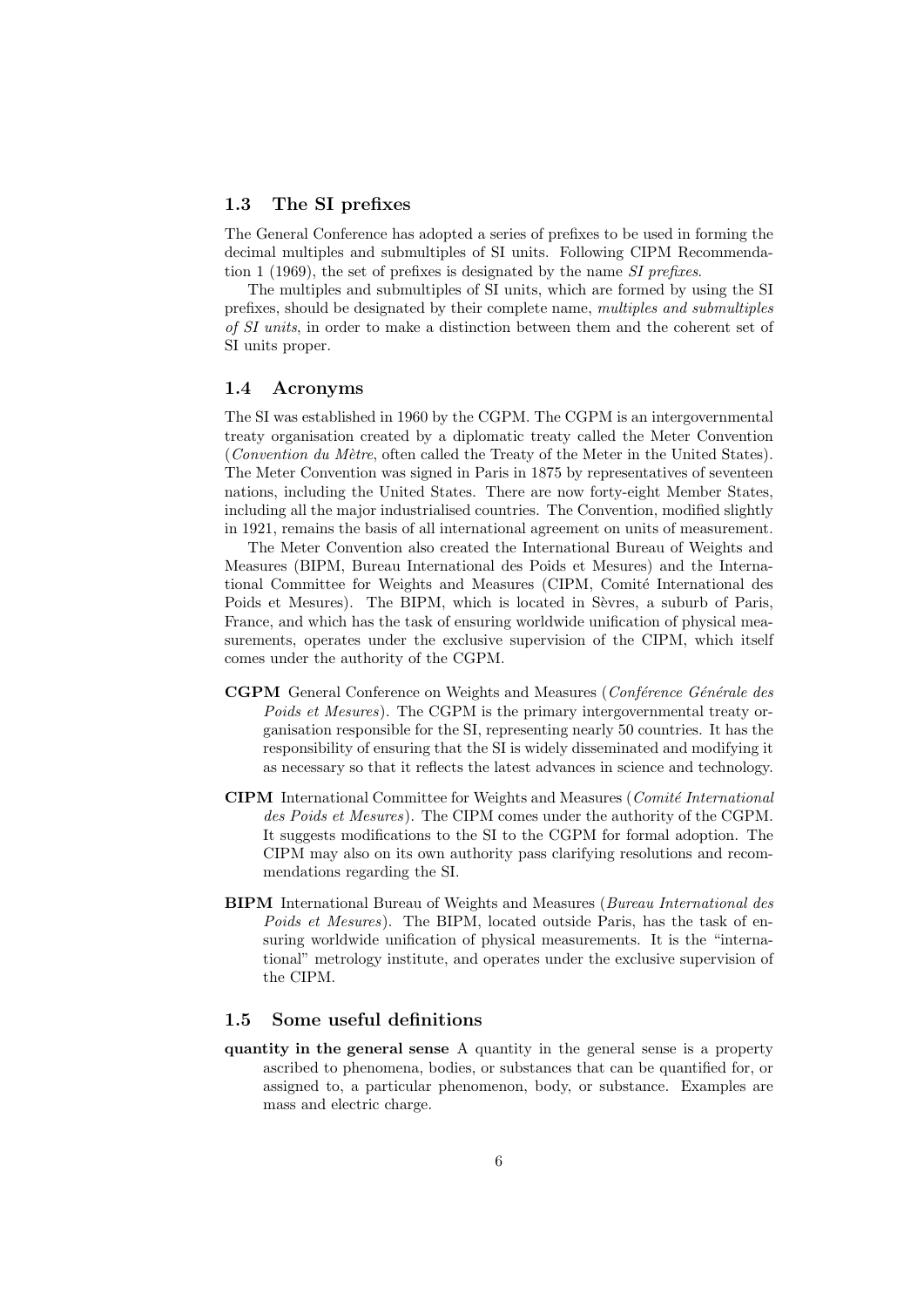### <span id="page-5-0"></span>1.3 The SI prefixes

The General Conference has adopted a series of prefixes to be used in forming the decimal multiples and submultiples of SI units. Following CIPM Recommendation 1 (1969), the set of prefixes is designated by the name SI prefixes.

The multiples and submultiples of SI units, which are formed by using the SI prefixes, should be designated by their complete name, multiples and submultiples of SI units, in order to make a distinction between them and the coherent set of SI units proper.

### <span id="page-5-1"></span>1.4 Acronyms

The SI was established in 1960 by the CGPM. The CGPM is an intergovernmental treaty organisation created by a diplomatic treaty called the Meter Convention (Convention du Mètre, often called the Treaty of the Meter in the United States). The Meter Convention was signed in Paris in 1875 by representatives of seventeen nations, including the United States. There are now forty-eight Member States, including all the major industrialised countries. The Convention, modified slightly in 1921, remains the basis of all international agreement on units of measurement.

The Meter Convention also created the International Bureau of Weights and Measures (BIPM, Bureau International des Poids et Mesures) and the International Committee for Weights and Measures (CIPM, Comité International des Poids et Mesures). The BIPM, which is located in Sèvres, a suburb of Paris, France, and which has the task of ensuring worldwide unification of physical measurements, operates under the exclusive supervision of the CIPM, which itself comes under the authority of the CGPM.

- CGPM General Conference on Weights and Measures (Conférence Générale des Poids et Mesures). The CGPM is the primary intergovernmental treaty organisation responsible for the SI, representing nearly 50 countries. It has the responsibility of ensuring that the SI is widely disseminated and modifying it as necessary so that it reflects the latest advances in science and technology.
- CIPM International Committee for Weights and Measures (Comité International des Poids et Mesures). The CIPM comes under the authority of the CGPM. It suggests modifications to the SI to the CGPM for formal adoption. The CIPM may also on its own authority pass clarifying resolutions and recommendations regarding the SI.
- BIPM International Bureau of Weights and Measures (Bureau International des Poids et Mesures). The BIPM, located outside Paris, has the task of ensuring worldwide unification of physical measurements. It is the "international" metrology institute, and operates under the exclusive supervision of the CIPM.

# <span id="page-5-2"></span>1.5 Some useful definitions

quantity in the general sense A quantity in the general sense is a property ascribed to phenomena, bodies, or substances that can be quantified for, or assigned to, a particular phenomenon, body, or substance. Examples are mass and electric charge.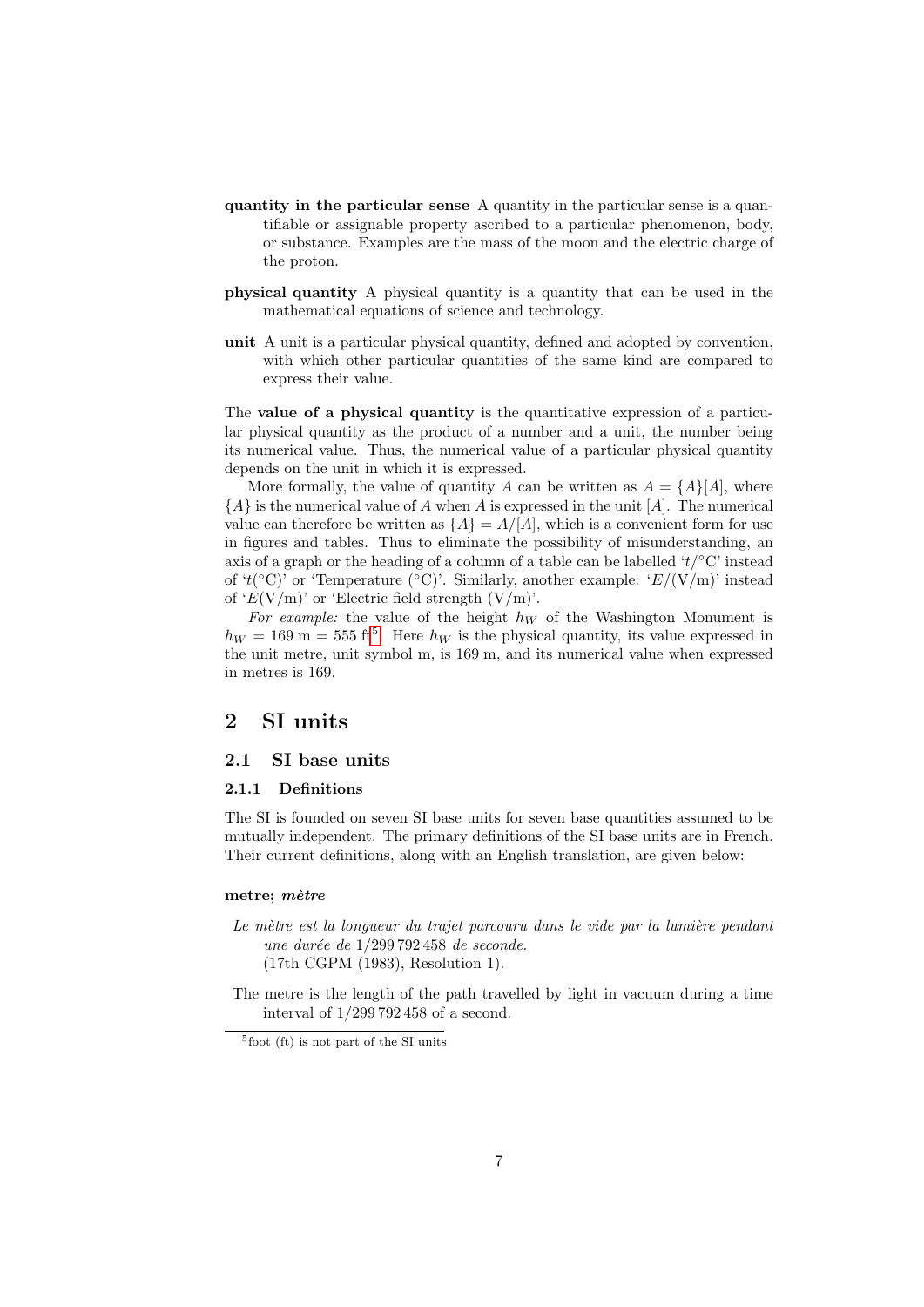- quantity in the particular sense A quantity in the particular sense is a quantifiable or assignable property ascribed to a particular phenomenon, body, or substance. Examples are the mass of the moon and the electric charge of the proton.
- physical quantity A physical quantity is a quantity that can be used in the mathematical equations of science and technology.
- unit A unit is a particular physical quantity, defined and adopted by convention, with which other particular quantities of the same kind are compared to express their value.

The value of a physical quantity is the quantitative expression of a particular physical quantity as the product of a number and a unit, the number being its numerical value. Thus, the numerical value of a particular physical quantity depends on the unit in which it is expressed.

More formally, the value of quantity A can be written as  $A = \{A\} [A]$ , where  ${A}$  is the numerical value of A when A is expressed in the unit [A]. The numerical value can therefore be written as  $\{A\} = A/|A|$ , which is a convenient form for use in figures and tables. Thus to eliminate the possibility of misunderstanding, an axis of a graph or the heading of a column of a table can be labelled  $'t/\textdegree C$  instead of 't( $\rm^{\circ}C$ )' or 'Temperature ( $\rm^{\circ}C$ )'. Similarly, another example: ' $E/(V/m)$ ' instead of ' $E(V/m)$ ' or 'Electric field strength  $(V/m)$ '.

For example: the value of the height  $h_W$  of the Washington Monument is  $h_W = 169 \text{ m} = 555 \text{ ft}^5$  $h_W = 169 \text{ m} = 555 \text{ ft}^5$  $h_W = 169 \text{ m} = 555 \text{ ft}^5$ . Here  $h_W$  is the physical quantity, its value expressed in the unit metre, unit symbol m, is 169 m, and its numerical value when expressed in metres is 169.

# <span id="page-6-0"></span>2 SI units

# <span id="page-6-1"></span>2.1 SI base units

### <span id="page-6-2"></span>2.1.1 Definitions

The SI is founded on seven SI base units for seven base quantities assumed to be mutually independent. The primary definitions of the SI base units are in French. Their current definitions, along with an English translation, are given below:

### metre; mètre

- Le mètre est la longueur du trajet parcouru dans le vide par la lumière pendant une durée de  $1/299$  792 458 de seconde. (17th CGPM (1983), Resolution 1).
- The metre is the length of the path travelled by light in vacuum during a time interval of 1/299 792 458 of a second.

<span id="page-6-3"></span><sup>5</sup> foot (ft) is not part of the SI units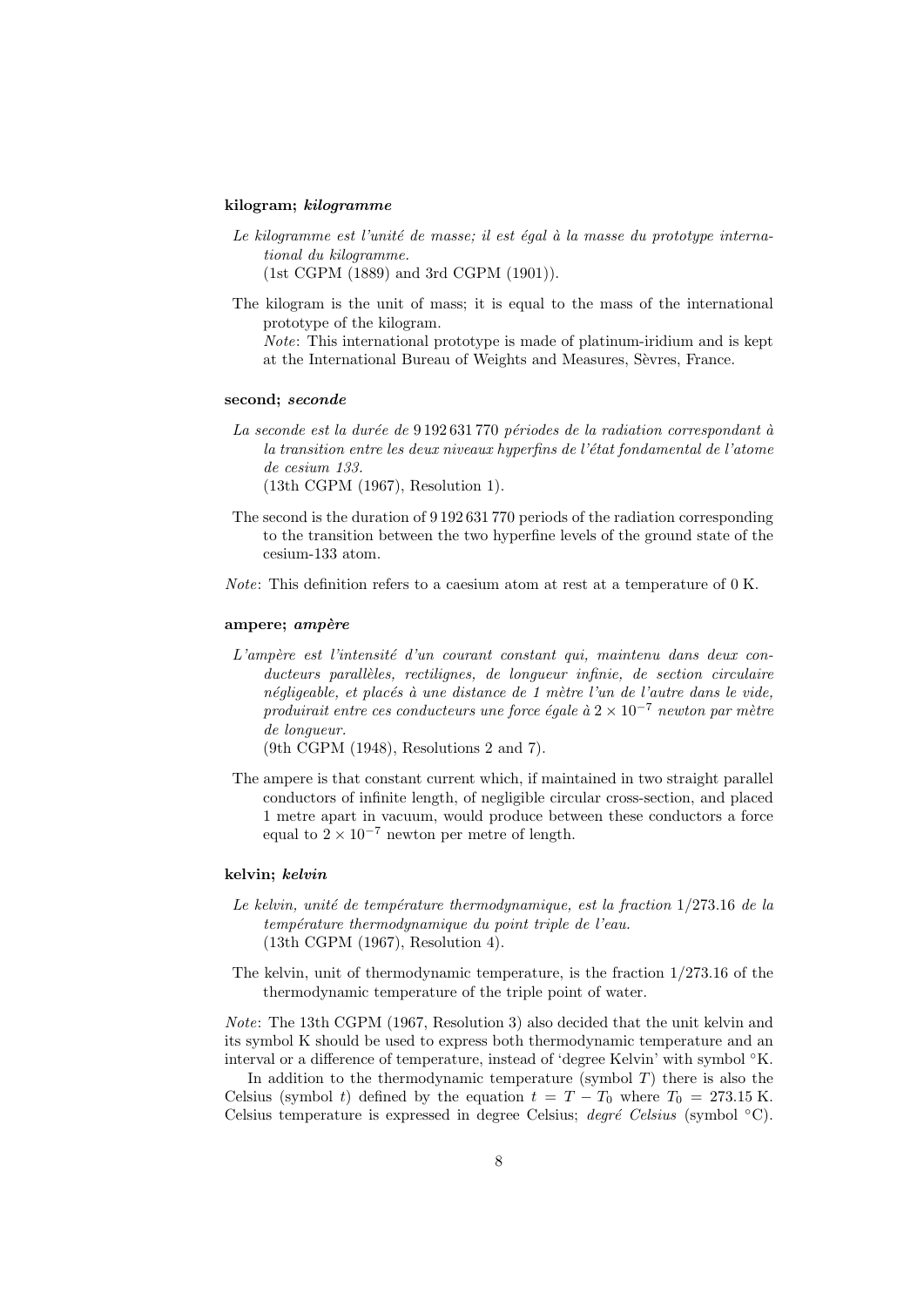### kilogram; kilogramme

- Le kilogramme est l'unité de masse; il est égal à la masse du prototype international du kilogramme. (1st CGPM (1889) and 3rd CGPM (1901)).
- The kilogram is the unit of mass; it is equal to the mass of the international prototype of the kilogram.

Note: This international prototype is made of platinum-iridium and is kept at the International Bureau of Weights and Measures, Sevres, France.

### second; seconde

- La seconde est la durée de 9 192 631 770 périodes de la radiation correspondant à la transition entre les deux niveaux hyperfins de l'état fondamental de l'atome de cesium 133. (13th CGPM (1967), Resolution 1).
- The second is the duration of 9 192 631 770 periods of the radiation corresponding to the transition between the two hyperfine levels of the ground state of the cesium-133 atom.
- Note: This definition refers to a caesium atom at rest at a temperature of 0 K.

#### ampere; ampère

 $L'amp\acute{e}re$  est l'intensité d'un courant constant qui, maintenu dans deux conducteurs parallèles, rectilignes, de longueur infinie, de section circulaire négligeable, et placés à une distance de 1 mètre l'un de l'autre dans le vide, produirait entre ces conducteurs une force égale à  $2 \times 10^{-7}$  newton par mètre de longueur.

(9th CGPM (1948), Resolutions 2 and 7).

The ampere is that constant current which, if maintained in two straight parallel conductors of infinite length, of negligible circular cross-section, and placed 1 metre apart in vacuum, would produce between these conductors a force equal to  $2 \times 10^{-7}$  newton per metre of length.

### kelvin; kelvin

- Le kelvin, unité de température thermodynamique, est la fraction  $1/273.16$  de la température thermodynamique du point triple de l'eau. (13th CGPM (1967), Resolution 4).
- The kelvin, unit of thermodynamic temperature, is the fraction  $1/273.16$  of the thermodynamic temperature of the triple point of water.

Note: The 13th CGPM (1967, Resolution 3) also decided that the unit kelvin and its symbol K should be used to express both thermodynamic temperature and an interval or a difference of temperature, instead of 'degree Kelvin' with symbol ◦K.

In addition to the thermodynamic temperature (symbol  $T$ ) there is also the Celsius (symbol t) defined by the equation  $t = T - T_0$  where  $T_0 = 273.15$  K. Celsius temperature is expressed in degree Celsius; degré Celsius (symbol  $°C$ ).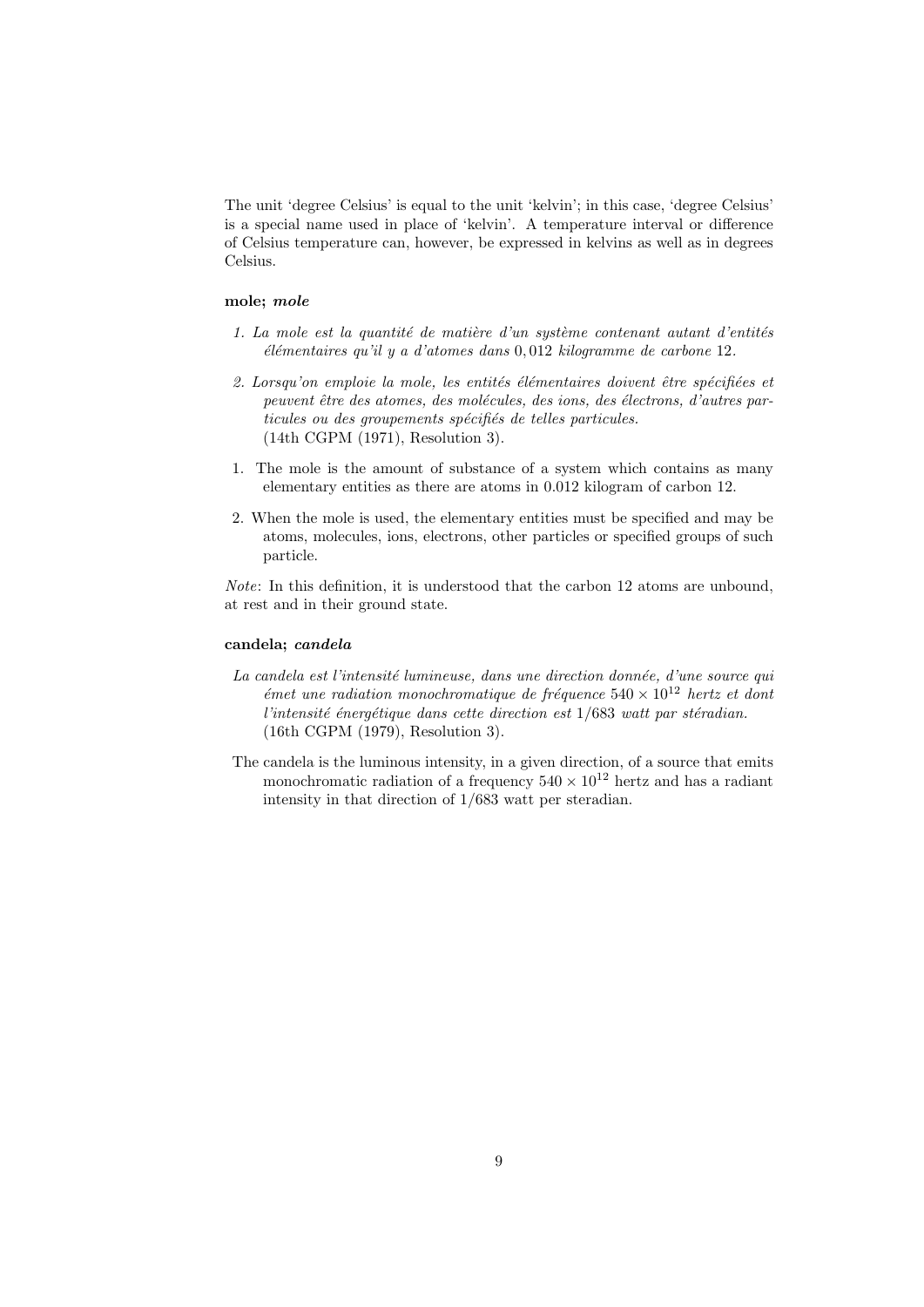The unit 'degree Celsius' is equal to the unit 'kelvin'; in this case, 'degree Celsius' is a special name used in place of 'kelvin'. A temperature interval or difference of Celsius temperature can, however, be expressed in kelvins as well as in degrees Celsius.

## mole; mole

- 1. La mole est la quantité de matière d'un système contenant autant d'entités  $e^{\frac{i}{2}}$ élémentaires qu'il y a d'atomes dans 0,012 kilogramme de carbone 12.
- 2. Lorsqu'on emploie la mole, les entités élémentaires doivent être spécifiées et peuvent être des atomes, des molécules, des ions, des électrons, d'autres particules ou des groupements spécifiés de telles particules. (14th CGPM (1971), Resolution 3).
- 1. The mole is the amount of substance of a system which contains as many elementary entities as there are atoms in 0.012 kilogram of carbon 12.
- 2. When the mole is used, the elementary entities must be specified and may be atoms, molecules, ions, electrons, other particles or specified groups of such particle.

Note: In this definition, it is understood that the carbon 12 atoms are unbound, at rest and in their ground state.

#### candela; candela

- La candela est l'intensité lumineuse, dans une direction donnée, d'une source qui  $\acute{e}$ met une radiation monochromatique de fréquence 540 × 10<sup>12</sup> hertz et dont l'intensité énergétique dans cette direction est  $1/683$  watt par stéradian. (16th CGPM (1979), Resolution 3).
- The candela is the luminous intensity, in a given direction, of a source that emits monochromatic radiation of a frequency  $540 \times 10^{12}$  hertz and has a radiant intensity in that direction of 1/683 watt per steradian.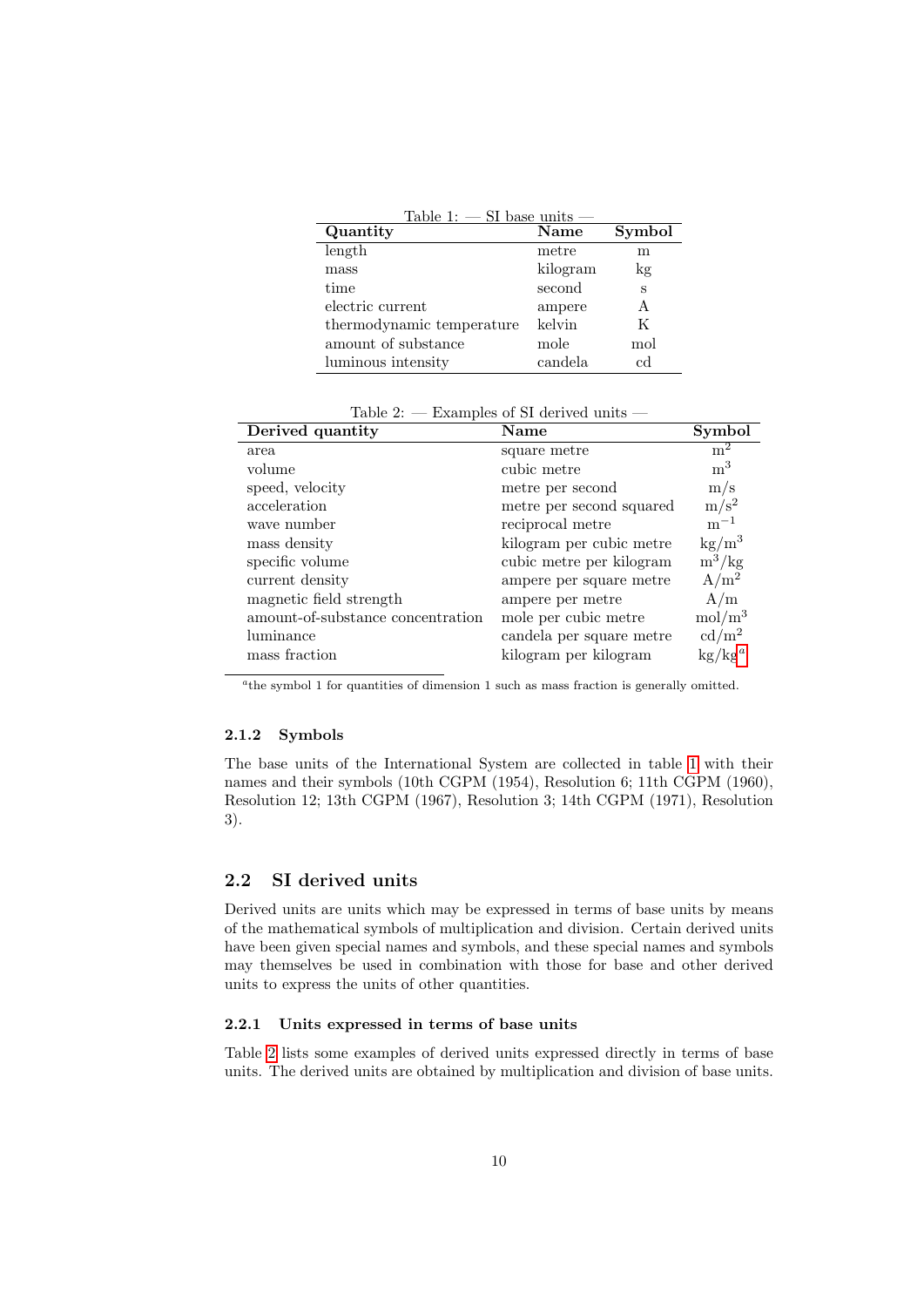<span id="page-9-4"></span>

| Table 1: $-$ SI base units $-$ |          |        |
|--------------------------------|----------|--------|
| Quantity                       | Name     | Symbol |
| length                         | metre    | m      |
| mass                           | kilogram | kg     |
| time                           | second   | S      |
| electric current               | ampere   | A      |
| thermodynamic temperature      | kelvin   | K      |
| amount of substance            | mole     | mol    |
| luminous intensity             | candela  | cd     |

<span id="page-9-5"></span>Table 2: — Examples of SI derived units —

| Name                     | Symbol                     |
|--------------------------|----------------------------|
| square metre             | m <sup>2</sup>             |
| cubic metre              | m <sup>3</sup>             |
| metre per second         | m/s                        |
| metre per second squared | $\mathrm{m}/\mathrm{s}^2$  |
| reciprocal metre         | $m^{-1}$                   |
| kilogram per cubic metre | $\mathrm{kg}/\mathrm{m}^3$ |
| cubic metre per kilogram | $m^3/kg$                   |
| ampere per square metre  | $A/m^2$                    |
| ampere per metre         | A/m                        |
| mole per cubic metre     | mol/m <sup>3</sup>         |
| candela per square metre | $\text{cd}/\text{m}^2$     |
| kilogram per kilogram    | $kg/kg^a$                  |
|                          |                            |

<span id="page-9-3"></span><sup>a</sup>the symbol 1 for quantities of dimension 1 such as mass fraction is generally omitted.

#### <span id="page-9-0"></span>2.1.2 Symbols

The base units of the International System are collected in table [1](#page-9-4) with their names and their symbols (10th CGPM (1954), Resolution 6; 11th CGPM (1960), Resolution 12; 13th CGPM (1967), Resolution 3; 14th CGPM (1971), Resolution 3).

# <span id="page-9-1"></span>2.2 SI derived units

Derived units are units which may be expressed in terms of base units by means of the mathematical symbols of multiplication and division. Certain derived units have been given special names and symbols, and these special names and symbols may themselves be used in combination with those for base and other derived units to express the units of other quantities.

### <span id="page-9-2"></span>2.2.1 Units expressed in terms of base units

Table [2](#page-9-5) lists some examples of derived units expressed directly in terms of base units. The derived units are obtained by multiplication and division of base units.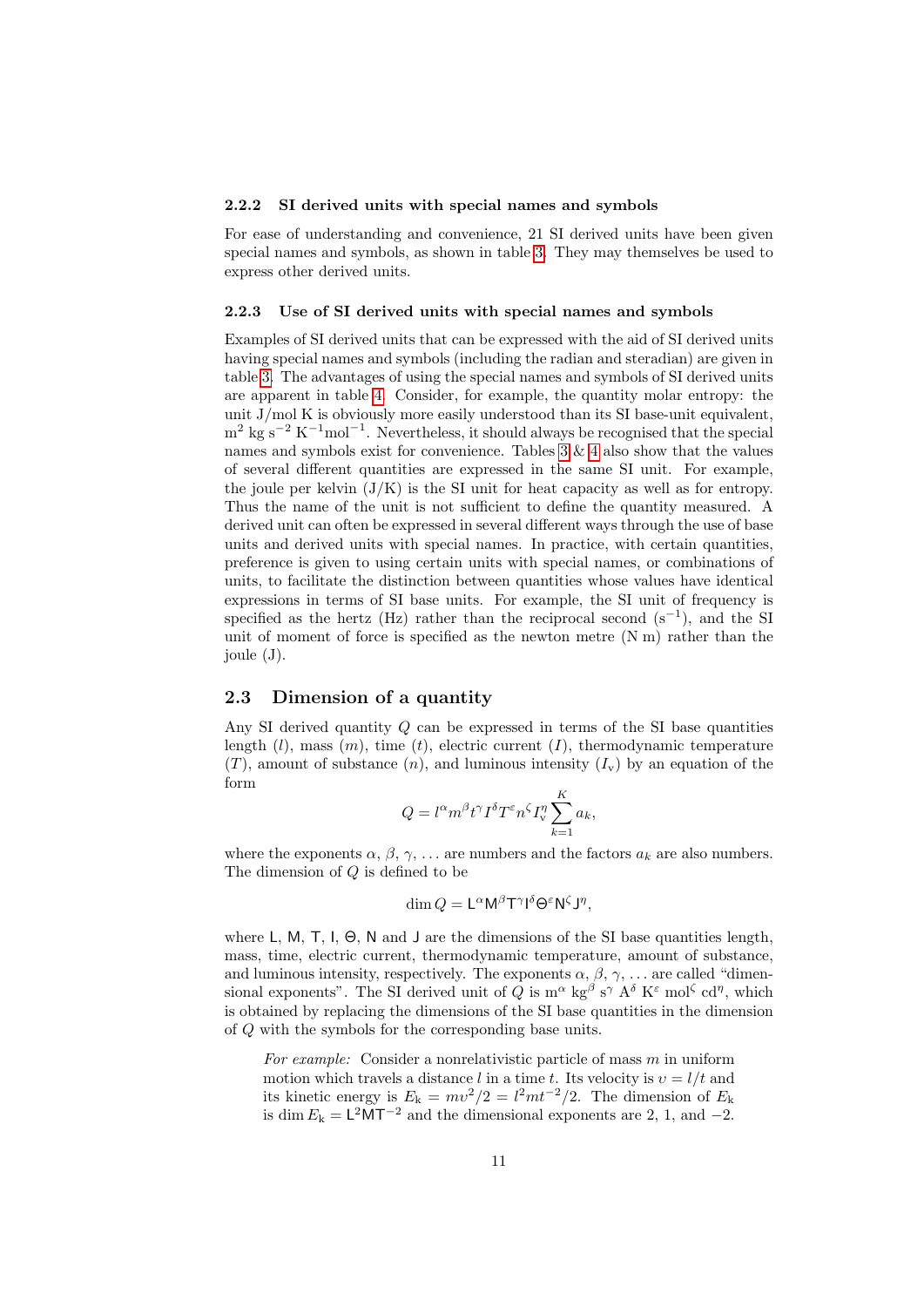#### <span id="page-10-0"></span>2.2.2 SI derived units with special names and symbols

For ease of understanding and convenience, 21 SI derived units have been given special names and symbols, as shown in table [3.](#page-11-0) They may themselves be used to express other derived units.

#### <span id="page-10-1"></span>2.2.3 Use of SI derived units with special names and symbols

Examples of SI derived units that can be expressed with the aid of SI derived units having special names and symbols (including the radian and steradian) are given in table [3.](#page-11-0) The advantages of using the special names and symbols of SI derived units are apparent in table [4.](#page-12-0) Consider, for example, the quantity molar entropy: the unit  $J/mol K$  is obviously more easily understood than its SI base-unit equivalent,  $m^2$  kg s<sup>-2</sup> K<sup>-1</sup>mol<sup>-1</sup>. Nevertheless, it should always be recognised that the special names and symbols exist for convenience. Tables [3](#page-11-0) & [4](#page-12-0) also show that the values of several different quantities are expressed in the same SI unit. For example, the joule per kelvin  $(J/K)$  is the SI unit for heat capacity as well as for entropy. Thus the name of the unit is not sufficient to define the quantity measured. A derived unit can often be expressed in several different ways through the use of base units and derived units with special names. In practice, with certain quantities, preference is given to using certain units with special names, or combinations of units, to facilitate the distinction between quantities whose values have identical expressions in terms of SI base units. For example, the SI unit of frequency is specified as the hertz (Hz) rather than the reciprocal second  $(s^{-1})$ , and the SI unit of moment of force is specified as the newton metre (N m) rather than the joule (J).

### <span id="page-10-2"></span>2.3 Dimension of a quantity

Any SI derived quantity  $Q$  can be expressed in terms of the SI base quantities length  $(l)$ , mass  $(m)$ , time  $(t)$ , electric current  $(I)$ , thermodynamic temperature  $(T)$ , amount of substance  $(n)$ , and luminous intensity  $(I_v)$  by an equation of the form

$$
Q = l^{\alpha} m^{\beta} t^{\gamma} I^{\delta} T^{\varepsilon} n^{\zeta} I_{\mathbf{v}}^{\eta} \sum_{k=1}^{K} a_k,
$$

where the exponents  $\alpha$ ,  $\beta$ ,  $\gamma$ , ... are numbers and the factors  $a_k$  are also numbers. The dimension of Q is defined to be

$$
\dim Q = \mathsf{L}^{\alpha} \mathsf{M}^{\beta} \mathsf{T}^{\gamma} \mathsf{I}^{\delta} \Theta^{\varepsilon} \mathsf{N}^{\zeta} \mathsf{J}^{\eta},
$$

where L, M, T, I,  $\Theta$ , N and J are the dimensions of the SI base quantities length, mass, time, electric current, thermodynamic temperature, amount of substance, and luminous intensity, respectively. The exponents  $\alpha, \beta, \gamma, \ldots$  are called "dimensional exponents". The SI derived unit of Q is  $m^{\alpha}$  kg<sup> $^{\beta}$ </sup> s<sup> $\gamma$ </sup> A<sup> $\delta$ </sup> K<sup> $\epsilon$ </sup> mol<sup> $\zeta$ </sup> cd<sup>*n*</sup>, which is obtained by replacing the dimensions of the SI base quantities in the dimension of Q with the symbols for the corresponding base units.

For example: Consider a nonrelativistic particle of mass  $m$  in uniform motion which travels a distance l in a time t. Its velocity is  $v = l/t$  and its kinetic energy is  $E_k = mv^2/2 = l^2mt^{-2}/2$ . The dimension of  $E_k$ is dim  $E_k = L^2 M T^{-2}$  and the dimensional exponents are 2, 1, and -2.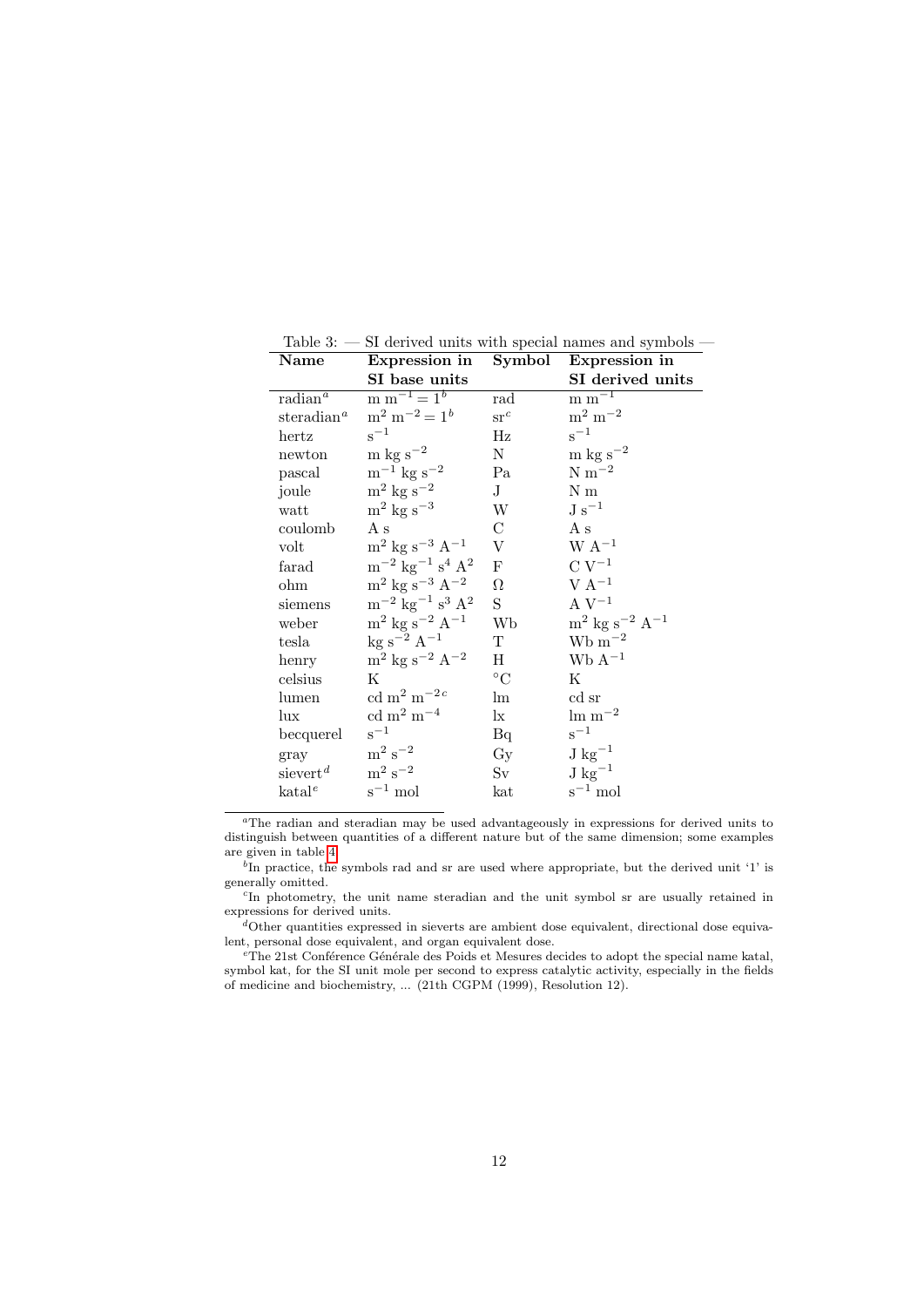<span id="page-11-0"></span>Table 3: — SI derived units with special names and symbols —

| Name                   | Expression in                                                      | Symbol                    | Expression in                                |
|------------------------|--------------------------------------------------------------------|---------------------------|----------------------------------------------|
|                        | SI base units                                                      |                           | SI derived units                             |
| $radian^a$             | $m m^{-1} = 1^b$                                                   | rad                       | $\mathrm{m}\mathrm{m}^{-1}$                  |
| steradian <sup>a</sup> | $m^2 m^{-2} = 1^b$                                                 | $\operatorname{sr}^c$     | $\rm m^2\ m^{-2}$                            |
| hertz                  | $s^{-1}$                                                           | Hz                        | $\rm s^{-1}$                                 |
| newton                 | $\rm m~kg~s^{-2}$                                                  | Ν                         | $\rm m$ kg s <sup>-2</sup>                   |
| pascal                 | $\rm m^{-1}$ kg s <sup>-2</sup>                                    | Pa                        | ${\rm N~m^{-2}}$                             |
| joule                  | $\mathrm{m}^2$ kg s <sup>-2</sup>                                  | $J_{\rm}$                 | N m                                          |
| watt                   | $\mathrm{m}^2$ kg s <sup>-3</sup>                                  | W                         | $\mathrm{J\ s^{-1}}$                         |
| coulomb                | A s                                                                | $\mathcal C$              | As                                           |
| volt                   | $\rm m^2$ kg s <sup>-3</sup> A <sup>-1</sup>                       | $\ensuremath{\mathbf{V}}$ | $\rm W~A^{-1}$                               |
| farad                  | $\mathrm{m}^{-2}$ $\mathrm{kg}^{-1}$ $\mathrm{s}^4$ $\mathrm{A}^2$ | ${\rm F}$                 | $C V^{-1}$                                   |
| ohm                    | $\rm m^2$ kg s <sup>-3</sup> A <sup>-2</sup>                       | $\Omega$                  | $V A^{-1}$                                   |
| siemens                | $\mathrm{m}^{-2}$ kg $^{-1}$ s <sup>3</sup> A <sup>2</sup>         | S                         | A $\rm V^{-1}$                               |
| weber                  | $\rm m^2$ kg s <sup>-2</sup> A <sup>-1</sup>                       | Wb                        | $\rm m^2$ kg s <sup>-2</sup> A <sup>-1</sup> |
| tesla                  | $kg s^{-2} A^{-1}$                                                 | T                         | $Wb m^{-2}$                                  |
| henry                  | $\mathrm{m}^2$ kg $\mathrm{s}^{-2}$ $\mathrm{A}^{-2}$              | Н                         | $WbA^{-1}$                                   |
| celsius                | Κ                                                                  | $\rm ^{\circ}C$           | Κ                                            |
| lumen                  | cd m <sup>2</sup> m <sup>-2c</sup>                                 | lm                        | cd sr                                        |
| lux                    | $\rm cd~m^2~m^{-4}$                                                | lx                        | $\rm{lm~m^{-2}}$                             |
| becquerel              | $s^{-1}$                                                           | Bq                        | $s^{-1}$                                     |
| gray                   | $\mathrm{m^{2}\,s^{-2}}$                                           | $\rm Gy$                  | $J \text{ kg}^{-1}$                          |
| sievert $^d$           | $m^2 s^{-2}$                                                       | Sv                        | $J \text{ kg}^{-1}$                          |
| katal <sup>e</sup>     | $s^{-1}$ mol                                                       | kat                       | $s^{-1}$ mol                                 |

<sup>a</sup>The radian and steradian may be used advantageously in expressions for derived units to distinguish between quantities of a different nature but of the same dimension; some examples are given in table [4.](#page-12-0)

 ${}^b$ In practice, the symbols rad and sr are used where appropriate, but the derived unit '1' is generally omitted.

<sup>c</sup>In photometry, the unit name steradian and the unit symbol sr are usually retained in expressions for derived units.

 ${}^d$ Other quantities expressed in sieverts are ambient dose equivalent, directional dose equivalent, personal dose equivalent, and organ equivalent dose.

 ${}^e$ The 21st Conférence Générale des Poids et Mesures decides to adopt the special name katal, symbol kat, for the SI unit mole per second to express catalytic activity, especially in the fields of medicine and biochemistry, ... (21th CGPM (1999), Resolution 12).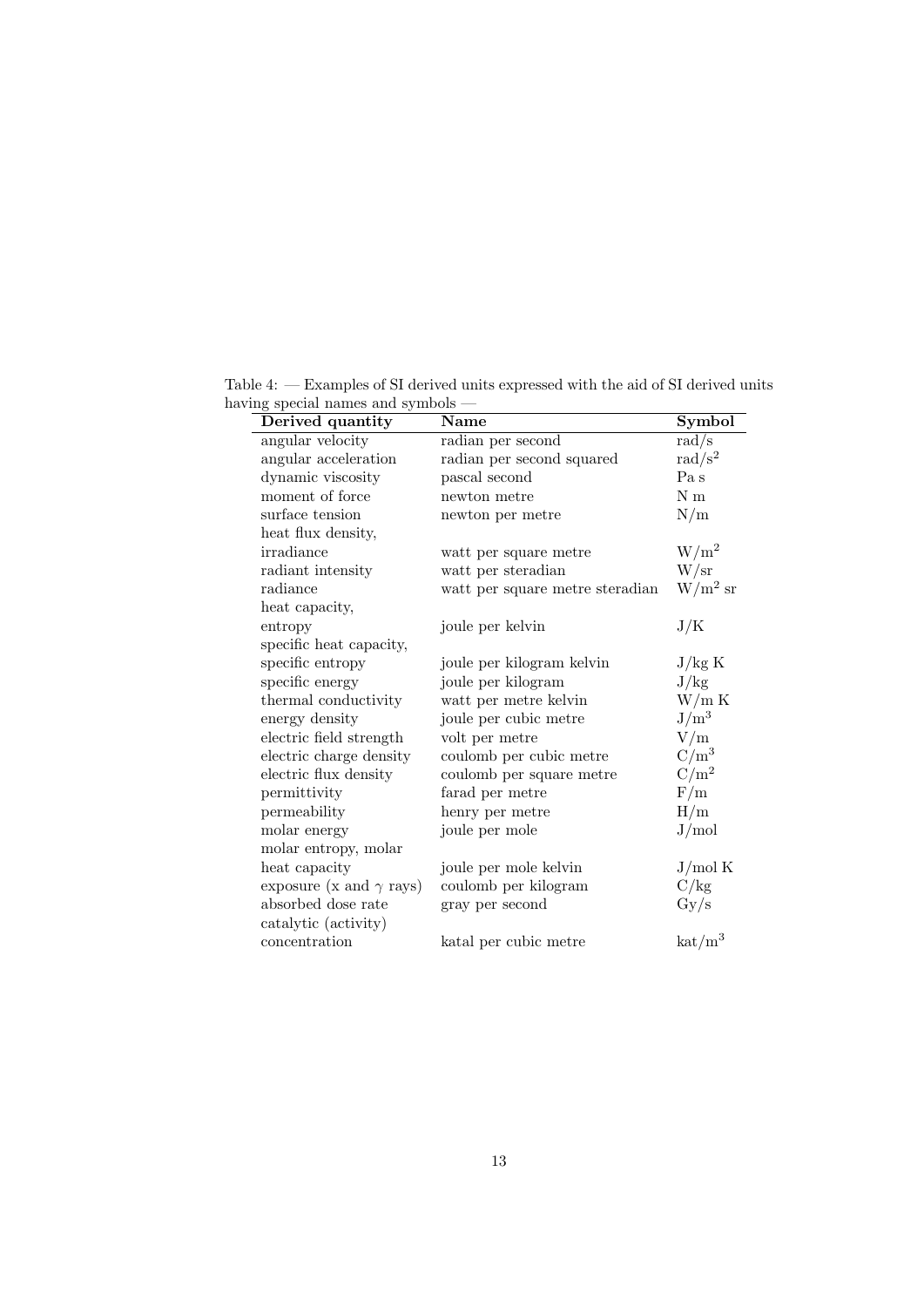<span id="page-12-0"></span>

| Derived quantity               | Name                            | Symbol                      |
|--------------------------------|---------------------------------|-----------------------------|
| angular velocity               | radian per second               | rad/s                       |
| angular acceleration           | radian per second squared       | rad/ $s^2$                  |
| dynamic viscosity              | pascal second                   | Pa s                        |
| moment of force                | newton metre                    | $N \text{ m}$               |
| surface tension                | newton per metre                | N/m                         |
| heat flux density,             |                                 |                             |
| irradiance                     | watt per square metre           | $\mathrm{W/m^2}$            |
| radiant intensity              | watt per steradian              | W/sr                        |
| radiance                       | watt per square metre steradian | $\mathrm{W/m^2~sr}$         |
| heat capacity,                 |                                 |                             |
| entropy                        | joule per kelvin                | J/K                         |
| specific heat capacity,        |                                 |                             |
| specific entropy               | joule per kilogram kelvin       | J/kg K                      |
| specific energy                | joule per kilogram              | J/kg                        |
| thermal conductivity           | watt per metre kelvin           | W/m K                       |
| energy density                 | joule per cubic metre           | $J/m^3$                     |
| electric field strength        | volt per metre                  | V/m                         |
| electric charge density        | coulomb per cubic metre         | $C/m^3$                     |
| electric flux density          | coulomb per square metre        | $C/m^2$                     |
| permittivity                   | farad per metre                 | F/m                         |
| permeability                   | henry per metre                 | H/m                         |
| molar energy                   | joule per mole                  | J/mol                       |
| molar entropy, molar           |                                 |                             |
| heat capacity                  | joule per mole kelvin           | J/mol K                     |
| exposure (x and $\gamma$ rays) | coulomb per kilogram            | C/kg                        |
| absorbed dose rate             | gray per second                 | $\rm Gy/s$                  |
| catalytic (activity)           |                                 |                             |
| concentration                  | katal per cubic metre           | $\mathrm{kat}/\mathrm{m}^3$ |
|                                |                                 |                             |

Table 4: — Examples of SI derived units expressed with the aid of SI derived units having special names and symbols —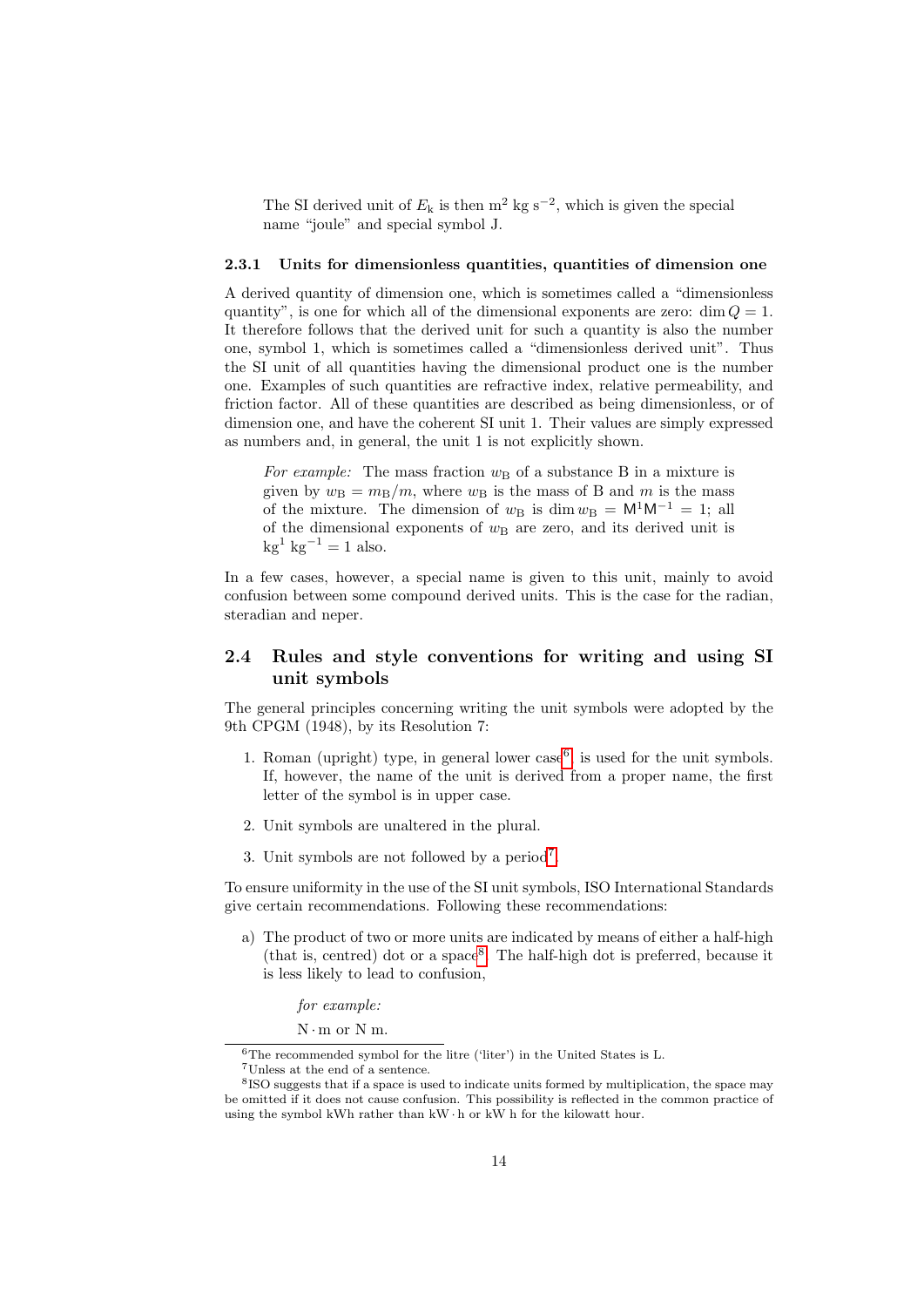The SI derived unit of  $E_k$  is then m<sup>2</sup> kg s<sup>-2</sup>, which is given the special name "joule" and special symbol J.

### <span id="page-13-0"></span>2.3.1 Units for dimensionless quantities, quantities of dimension one

A derived quantity of dimension one, which is sometimes called a "dimensionless quantity", is one for which all of the dimensional exponents are zero:  $\dim Q = 1$ . It therefore follows that the derived unit for such a quantity is also the number one, symbol 1, which is sometimes called a "dimensionless derived unit". Thus the SI unit of all quantities having the dimensional product one is the number one. Examples of such quantities are refractive index, relative permeability, and friction factor. All of these quantities are described as being dimensionless, or of dimension one, and have the coherent SI unit 1. Their values are simply expressed as numbers and, in general, the unit 1 is not explicitly shown.

For example: The mass fraction  $w_B$  of a substance B in a mixture is given by  $w_B = m_B/m$ , where  $w_B$  is the mass of B and m is the mass of the mixture. The dimension of  $w_B$  is dim  $w_B = M^1M^{-1} = 1$ ; all of the dimensional exponents of  $w_B$  are zero, and its derived unit is  $kg^{-1}$  kg<sup>-1</sup> = 1 also.

In a few cases, however, a special name is given to this unit, mainly to avoid confusion between some compound derived units. This is the case for the radian, steradian and neper.

# <span id="page-13-1"></span>2.4 Rules and style conventions for writing and using SI unit symbols

The general principles concerning writing the unit symbols were adopted by the 9th CPGM (1948), by its Resolution 7:

- 1. Roman (upright) type, in general lower  $case<sup>6</sup>$  $case<sup>6</sup>$  $case<sup>6</sup>$ , is used for the unit symbols. If, however, the name of the unit is derived from a proper name, the first letter of the symbol is in upper case.
- 2. Unit symbols are unaltered in the plural.
- 3. Unit symbols are not followed by a period<sup>[7](#page-13-3)</sup>.

To ensure uniformity in the use of the SI unit symbols, ISO International Standards give certain recommendations. Following these recommendations:

a) The product of two or more units are indicated by means of either a half-high (that is, centred) dot or a space[8](#page-13-4) . The half-high dot is preferred, because it is less likely to lead to confusion,

for example:

 $N \cdot m$  or  $N m$ .

<span id="page-13-2"></span> $6$ The recommended symbol for the litre ('liter') in the United States is L.

<span id="page-13-4"></span><span id="page-13-3"></span><sup>7</sup>Unless at the end of a sentence.

<sup>&</sup>lt;sup>8</sup> ISO suggests that if a space is used to indicate units formed by multiplication, the space may be omitted if it does not cause confusion. This possibility is reflected in the common practice of using the symbol kWh rather than  $kW \cdot h$  or  $kW$  h for the kilowatt hour.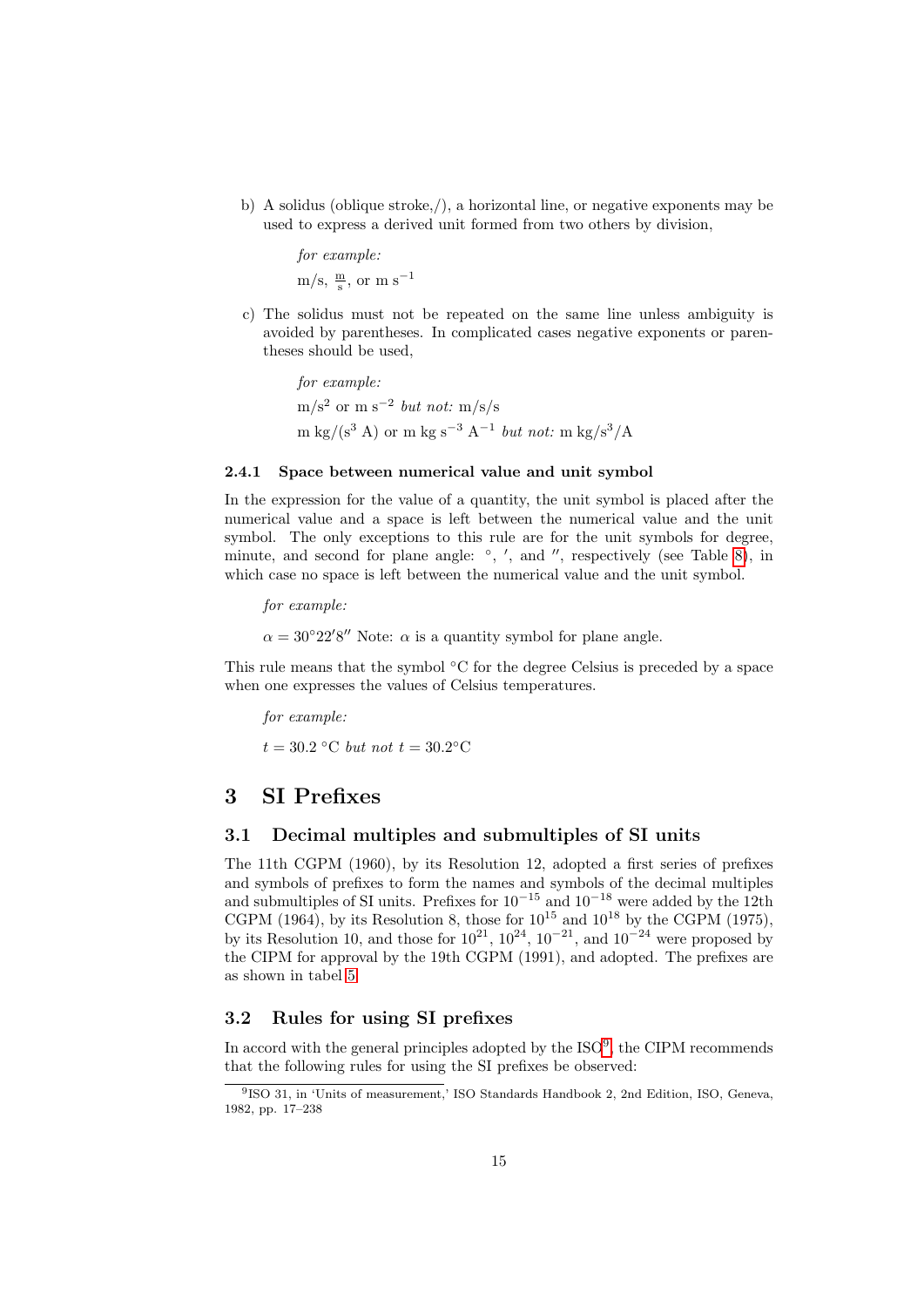b) A solidus (oblique stroke,/), a horizontal line, or negative exponents may be used to express a derived unit formed from two others by division,

> for example:  $\rm m/s, \frac{m}{s}, \, or \, m \, s^{-1}$

c) The solidus must not be repeated on the same line unless ambiguity is avoided by parentheses. In complicated cases negative exponents or parentheses should be used,

for example:  $\text{m/s}^2 \text{ or } \text{m s}^{-2} \text{ but not: } \text{m/s/s}$ m kg/(s<sup>3</sup> A) or m kg s<sup>-3</sup> A<sup>-1</sup> but not: m kg/s<sup>3</sup>/A

### <span id="page-14-0"></span>2.4.1 Space between numerical value and unit symbol

In the expression for the value of a quantity, the unit symbol is placed after the numerical value and a space is left between the numerical value and the unit symbol. The only exceptions to this rule are for the unit symbols for degree, minute, and second for plane angle:  $\degree$ , ', and '', respectively (see Table [8\)](#page-18-0), in which case no space is left between the numerical value and the unit symbol.

for example:

 $\alpha = 30^{\circ}22'8''$  Note:  $\alpha$  is a quantity symbol for plane angle.

This rule means that the symbol ◦C for the degree Celsius is preceded by a space when one expresses the values of Celsius temperatures.

for example:  $t = 30.2$  °C but not  $t = 30.2$ °C

# <span id="page-14-1"></span>3 SI Prefixes

# <span id="page-14-2"></span>3.1 Decimal multiples and submultiples of SI units

The 11th CGPM (1960), by its Resolution 12, adopted a first series of prefixes and symbols of prefixes to form the names and symbols of the decimal multiples and submultiples of SI units. Prefixes for  $10^{-15}$  and  $10^{-18}$  were added by the 12th CGPM (1964), by its Resolution 8, those for  $10^{15}$  and  $10^{18}$  by the CGPM (1975), by its Resolution 10, and those for  $10^{21}$ ,  $10^{24}$ ,  $10^{-21}$ , and  $10^{-24}$  were proposed by the CIPM for approval by the 19th CGPM (1991), and adopted. The prefixes are as shown in tabel [5.](#page-15-1)

# <span id="page-14-3"></span>3.2 Rules for using SI prefixes

In accord with the general principles adopted by the  $ISO<sup>9</sup>$  $ISO<sup>9</sup>$  $ISO<sup>9</sup>$ , the CIPM recommends that the following rules for using the SI prefixes be observed:

<span id="page-14-4"></span><sup>9</sup> ISO 31, in 'Units of measurement,' ISO Standards Handbook 2, 2nd Edition, ISO, Geneva, 1982, pp. 17–238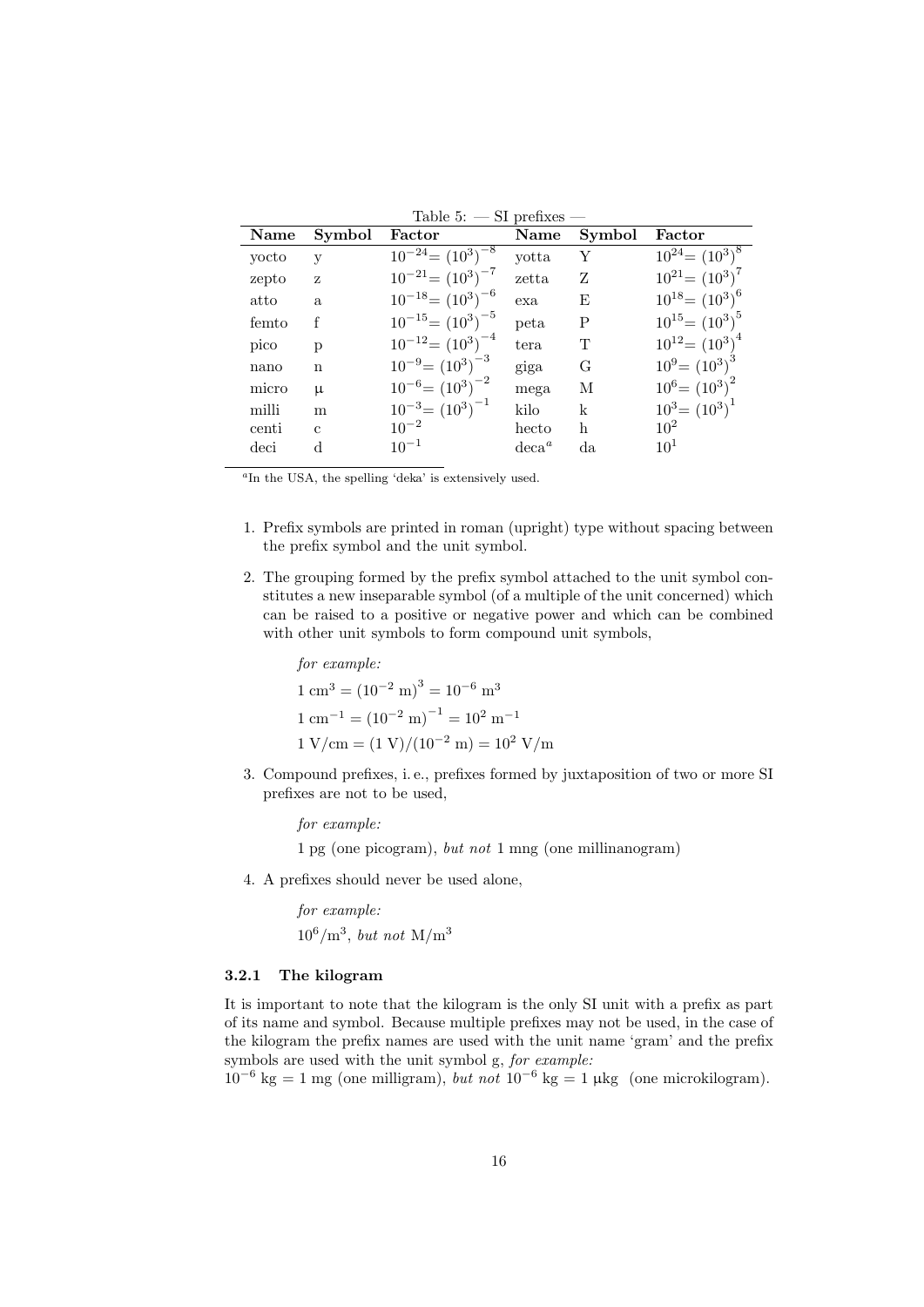| Name  | Symbol        | Factor                   | Name     | Symbol      | Factor               |
|-------|---------------|--------------------------|----------|-------------|----------------------|
| yocto | V             | $10^{-24} = (10^3)^{-8}$ | yotta    | Υ           | $10^{24} = (10^3)^8$ |
| zepto | Z             | $10^{-21} = (10^3)^{-7}$ | zetta    | Z           | $10^{21} = (10^3)^7$ |
| atto  | a.            | $10^{-18} = (10^3)^{-6}$ | exa      | E           | $10^{18} = (10^3)^6$ |
| femto |               | $10^{-15} = (10^3)^{-5}$ | peta     | $\mathbf P$ | $10^{15} = (10^3)^5$ |
| pico  | p             | $10^{-12} = (10^3)^{-4}$ | tera     | T           | $10^{12} = (10^3)^4$ |
| nano  | n             | $10^{-9} = (10^3)^{-3}$  | giga     | G           | $10^9 = (10^3)^3$    |
| micro | μ             | $10^{-6} = (10^3)^{-2}$  | mega     | М           | $10^6 = (10^3)^2$    |
| milli | m             | $10^{-3} = (10^3)^{-1}$  | kilo     | k           | $10^3 = (10^3)^1$    |
| centi | $\mathcal{C}$ | $10^{-2}$                | hecto    | h           | $10^2$               |
| deci  | d             | $10^{-1}$                | $deca^a$ | da          | $10^{1}$             |

<span id="page-15-1"></span> $Table 5:$  SI prefixes

a In the USA, the spelling 'deka' is extensively used.

- 1. Prefix symbols are printed in roman (upright) type without spacing between the prefix symbol and the unit symbol.
- 2. The grouping formed by the prefix symbol attached to the unit symbol constitutes a new inseparable symbol (of a multiple of the unit concerned) which can be raised to a positive or negative power and which can be combined with other unit symbols to form compound unit symbols,

for example:  $1 \text{ cm}^3 = (10^{-2} \text{ m})^3 = 10^{-6} \text{ m}^3$  $1 \text{ cm}^{-1} = (10^{-2} \text{ m})^{-1} = 10^2 \text{ m}^{-1}$  $1 \text{ V/cm} = (1 \text{ V})/(10^{-2} \text{ m}) = 10^2 \text{ V/m}$ 

3. Compound prefixes, i. e., prefixes formed by juxtaposition of two or more SI prefixes are not to be used,

for example:

1 pg (one picogram), but not 1 mng (one millinanogram)

4. A prefixes should never be used alone,

for example:  $10^6/m^3$ , but not M/m<sup>3</sup>

### <span id="page-15-0"></span>3.2.1 The kilogram

It is important to note that the kilogram is the only SI unit with a prefix as part of its name and symbol. Because multiple prefixes may not be used, in the case of the kilogram the prefix names are used with the unit name 'gram' and the prefix symbols are used with the unit symbol g, for example:

 $10^{-6}$  kg = 1 mg (one milligram), but not  $10^{-6}$  kg = 1 µkg (one microkilogram).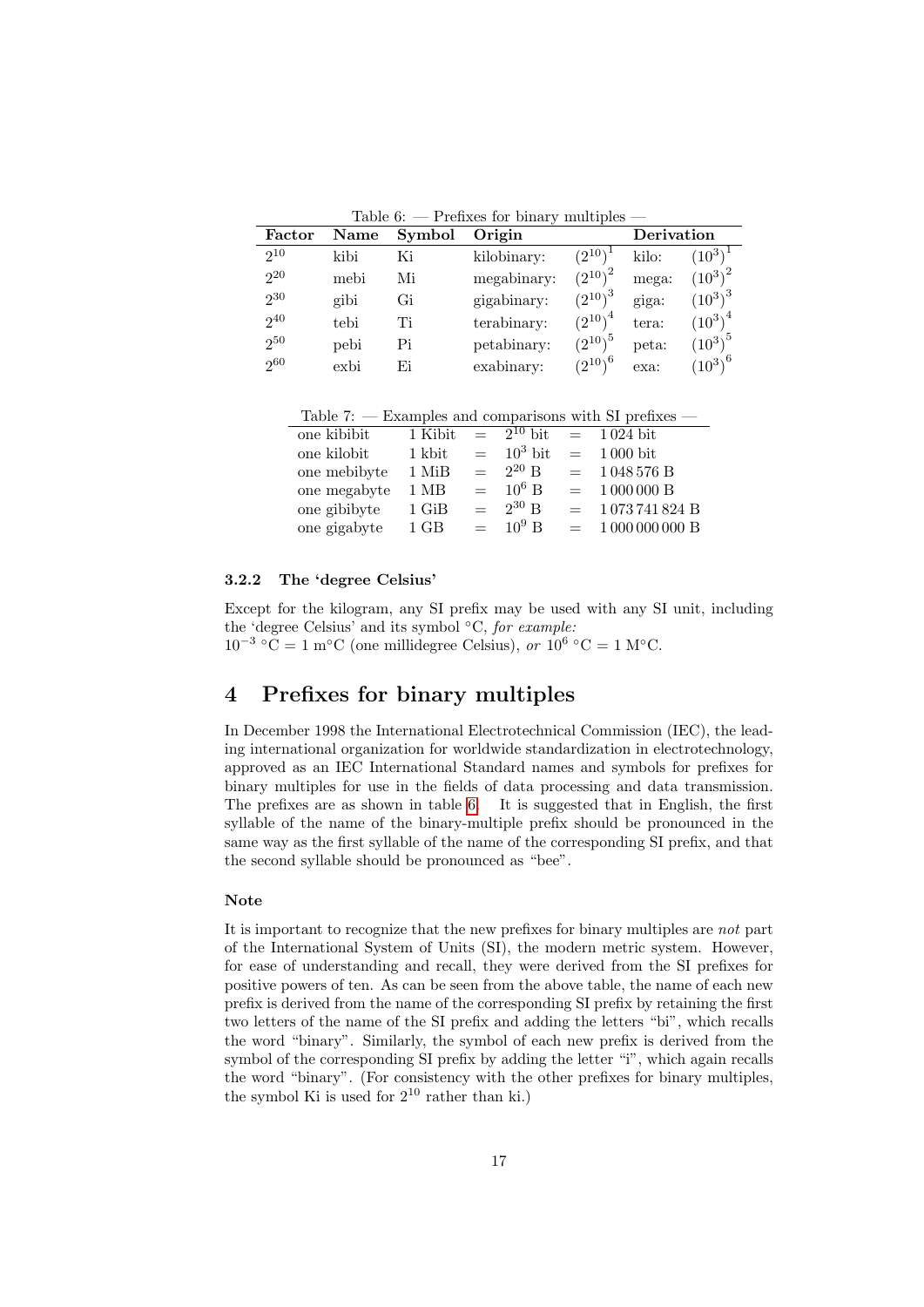<span id="page-16-2"></span>Table 6:  $-$  Prefixes for binary multiples  $-$ 

| Factor   | <b>Name</b> | Symbol | Origin      |                |       | Derivation           |
|----------|-------------|--------|-------------|----------------|-------|----------------------|
| $2^{10}$ | kibi        | Ki     | kilobinary: | $(2^{10})^4$   | kilo: | $(10^3)$             |
| $2^{20}$ | mebi        | Мi     | megabinary: | $(2^{10})^2$   | mega: | $(10^3)^2$           |
| $2^{30}$ | gibi        | Gi     | gigabinary: | $(2^{10})^3$   | giga: | $(10^3)^3$           |
| $2^{40}$ | tebi        | Ti     | terabinary: | $(2^{10})^4$   | tera: | $(10^{3})^4$         |
| $2^{50}$ | pebi        | Pi     | petabinary: | ${(2^{10})}^5$ | peta: | $(10^{3})^5$         |
| $2^{60}$ | exbi        | Fi     | exabinary:  | $(2^{10})^6$   | exa:  | $(10^{3^{\sqrt{6}}}$ |

Table 7:  $-$  Examples and comparisons with SI prefixes  $-$ 

| one kibibit  | 1 Kibit        |         | $= 2^{10}$ bit          |     | $= 1024$ bit |
|--------------|----------------|---------|-------------------------|-----|--------------|
| one kilobit  | 1 kbit         |         | $=$ 10 <sup>3</sup> bit | $=$ | 1 000 bit    |
| one mebibyte | 1 MiB          | $=$     | $2^{20}$ B              | $=$ | 1048576B     |
| one megabyte | $1 \text{ MB}$ |         | $= 10^6$ B              | $=$ | 1000000B     |
| one gibibyte | $1$ GiB        | $=$ $-$ | $2^{30}$ B              | $=$ | 1073741824B  |
| one gigabyte | $1$ GB         | $=$     | $10^9$ B                | $=$ | 1000000000B  |

#### <span id="page-16-0"></span>3.2.2 The 'degree Celsius'

Except for the kilogram, any SI prefix may be used with any SI unit, including the 'degree Celsius' and its symbol  $°C$ , for example:  $10^{-3}$  °C = 1 m°C (one millidegree Celsius), or  $10^{6}$  °C = 1 M°C.

# <span id="page-16-1"></span>4 Prefixes for binary multiples

In December 1998 the International Electrotechnical Commission (IEC), the leading international organization for worldwide standardization in electrotechnology, approved as an IEC International Standard names and symbols for prefixes for binary multiples for use in the fields of data processing and data transmission. The prefixes are as shown in table [6.](#page-16-2) It is suggested that in English, the first syllable of the name of the binary-multiple prefix should be pronounced in the same way as the first syllable of the name of the corresponding SI prefix, and that the second syllable should be pronounced as "bee".

### Note

It is important to recognize that the new prefixes for binary multiples are not part of the International System of Units (SI), the modern metric system. However, for ease of understanding and recall, they were derived from the SI prefixes for positive powers of ten. As can be seen from the above table, the name of each new prefix is derived from the name of the corresponding SI prefix by retaining the first two letters of the name of the SI prefix and adding the letters "bi", which recalls the word "binary". Similarly, the symbol of each new prefix is derived from the symbol of the corresponding SI prefix by adding the letter "i", which again recalls the word "binary". (For consistency with the other prefixes for binary multiples, the symbol Ki is used for  $2^{10}$  rather than ki.)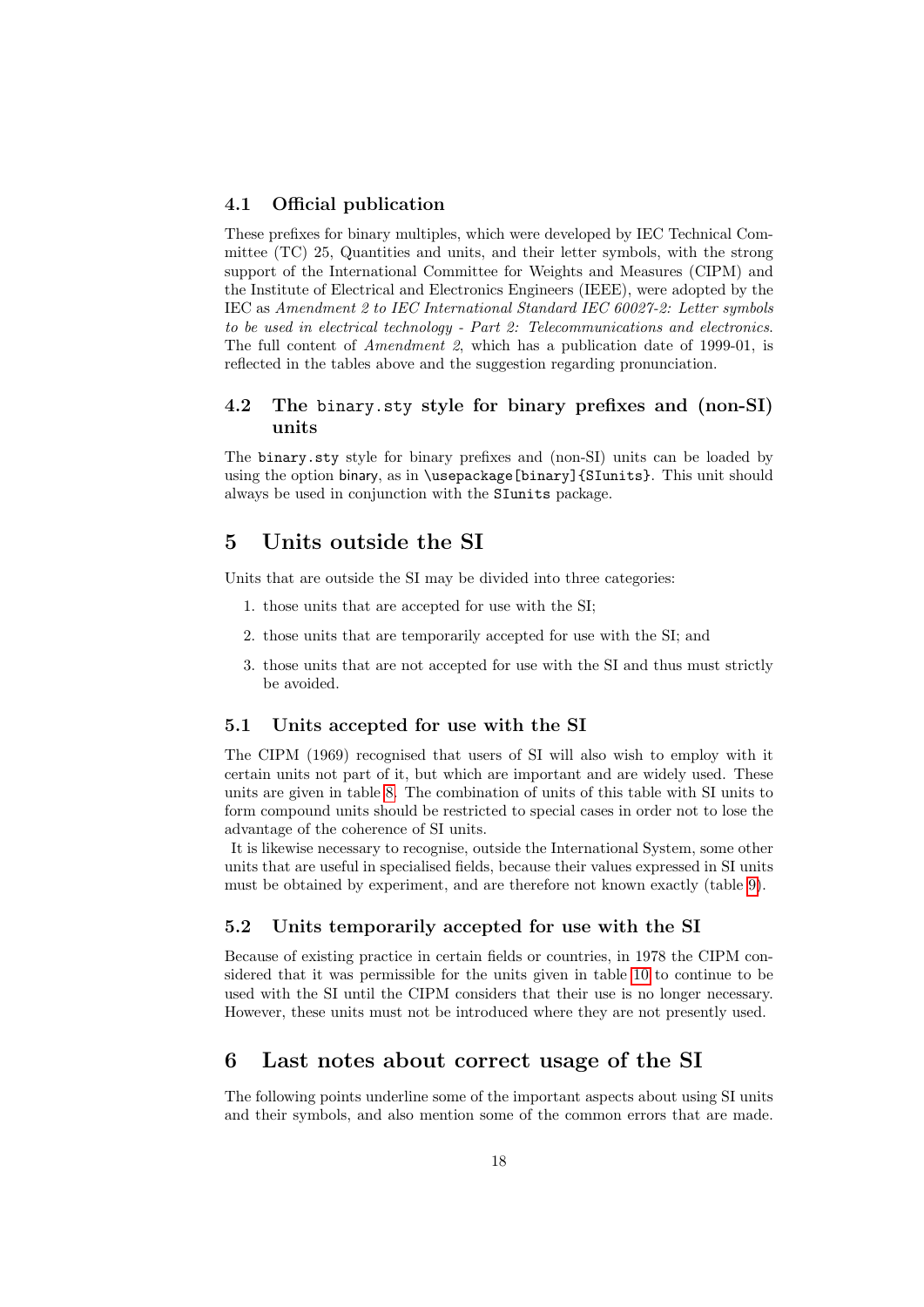### <span id="page-17-0"></span>4.1 Official publication

These prefixes for binary multiples, which were developed by IEC Technical Committee (TC) 25, Quantities and units, and their letter symbols, with the strong support of the International Committee for Weights and Measures (CIPM) and the Institute of Electrical and Electronics Engineers (IEEE), were adopted by the IEC as Amendment 2 to IEC International Standard IEC 60027-2: Letter symbols to be used in electrical technology - Part 2: Telecommunications and electronics. The full content of Amendment 2, which has a publication date of 1999-01, is reflected in the tables above and the suggestion regarding pronunciation.

# <span id="page-17-1"></span>4.2 The binary.sty style for binary prefixes and (non-SI) units

The binary.sty style for binary prefixes and (non-SI) units can be loaded by using the option binary, as in \usepackage[binary]{SIunits}. This unit should always be used in conjunction with the SIunits package.

# <span id="page-17-2"></span>5 Units outside the SI

Units that are outside the SI may be divided into three categories:

- 1. those units that are accepted for use with the SI;
- 2. those units that are temporarily accepted for use with the SI; and
- 3. those units that are not accepted for use with the SI and thus must strictly be avoided.

# <span id="page-17-3"></span>5.1 Units accepted for use with the SI

The CIPM (1969) recognised that users of SI will also wish to employ with it certain units not part of it, but which are important and are widely used. These units are given in table [8.](#page-18-0) The combination of units of this table with SI units to form compound units should be restricted to special cases in order not to lose the advantage of the coherence of SI units.

It is likewise necessary to recognise, outside the International System, some other units that are useful in specialised fields, because their values expressed in SI units must be obtained by experiment, and are therefore not known exactly (table [9\)](#page-18-1).

# <span id="page-17-4"></span>5.2 Units temporarily accepted for use with the SI

Because of existing practice in certain fields or countries, in 1978 the CIPM considered that it was permissible for the units given in table [10](#page-19-0) to continue to be used with the SI until the CIPM considers that their use is no longer necessary. However, these units must not be introduced where they are not presently used.

# <span id="page-17-5"></span>6 Last notes about correct usage of the SI

The following points underline some of the important aspects about using SI units and their symbols, and also mention some of the common errors that are made.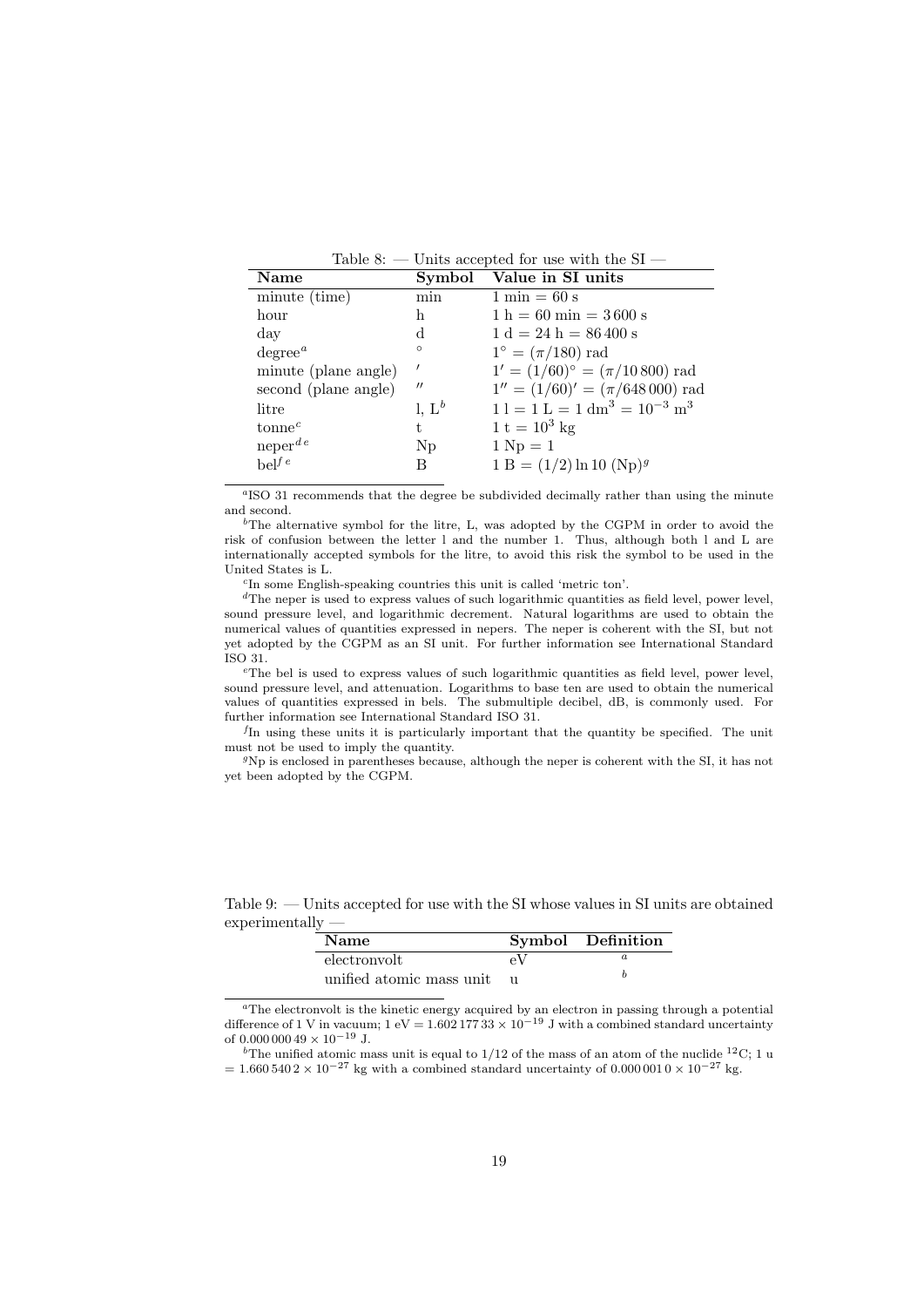<span id="page-18-0"></span>

| <b>Name</b>          | Symbol            | Value in SI units                              |
|----------------------|-------------------|------------------------------------------------|
| minute (time)        | min               | $1 \text{ min} = 60 \text{ s}$                 |
| hour                 | h.                | $1 h = 60 min = 3600 s$                        |
| day                  | d                 | $1 d = 24 h = 86 400 s$                        |
| $degree^a$           | $\circ$           | $1^{\circ} = (\pi/180)$ rad                    |
| minute (plane angle) | $\prime$          | $1' = (1/60)$ <sup>o</sup> = $(\pi/10800)$ rad |
| second (plane angle) | $^{\prime\prime}$ | $1'' = (1/60)' = (\pi/648000)$ rad             |
| litre                | l, $L^b$          | $1 l = 1 L = 1 dm3 = 10-3 m3$                  |
| tonne <sup>c</sup>   | t.                | $1 t = 10^3 kg$                                |
| $neper^{de}$         | $N_{\rm D}$       | $1 \mathrm{Np} = 1$                            |
| $be]$ <sup>f e</sup> | В                 | $1 B = (1/2) \ln 10 (Np)^g$                    |

<sup>a</sup>ISO 31 recommends that the degree be subdivided decimally rather than using the minute and second.

 $b$ The alternative symbol for the litre, L, was adopted by the CGPM in order to avoid the risk of confusion between the letter l and the number 1. Thus, although both l and L are internationally accepted symbols for the litre, to avoid this risk the symbol to be used in the United States is L.

c In some English-speaking countries this unit is called 'metric ton'.

<sup>d</sup>The neper is used to express values of such logarithmic quantities as field level, power level, sound pressure level, and logarithmic decrement. Natural logarithms are used to obtain the numerical values of quantities expressed in nepers. The neper is coherent with the SI, but not yet adopted by the CGPM as an SI unit. For further information see International Standard ISO 31.

 $e<sup>e</sup>$ The bel is used to express values of such logarithmic quantities as field level, power level, sound pressure level, and attenuation. Logarithms to base ten are used to obtain the numerical values of quantities expressed in bels. The submultiple decibel, dB, is commonly used. For further information see International Standard ISO 31.

f In using these units it is particularly important that the quantity be specified. The unit must not be used to imply the quantity.

<sup>g</sup>Np is enclosed in parentheses because, although the neper is coherent with the SI, it has not yet been adopted by the CGPM.

<span id="page-18-1"></span>

| -----------              |    |                   |
|--------------------------|----|-------------------|
| <b>Name</b>              |    | Symbol Definition |
| electronvolt             | eV |                   |
| unified atomic mass unit |    |                   |

Table 9: — Units accepted for use with the SI whose values in SI units are obtained experimentally —

<sup>a</sup>The electronvolt is the kinetic energy acquired by an electron in passing through a potential difference of 1 V in vacuum;  $1 \text{ eV} = 1.60217733 \times 10^{-19} \text{ J}$  with a combined standard uncertainty of 0.000 000 49 × 10<sup>-19</sup> J.

<sup>b</sup>The unified atomic mass unit is equal to  $1/12$  of the mass of an atom of the nuclide <sup>12</sup>C; 1 u  $= 1.660\,540\,2\times 10^{-27}$  kg with a combined standard uncertainty of 0.000 001 0 × 10<sup>-27</sup> kg.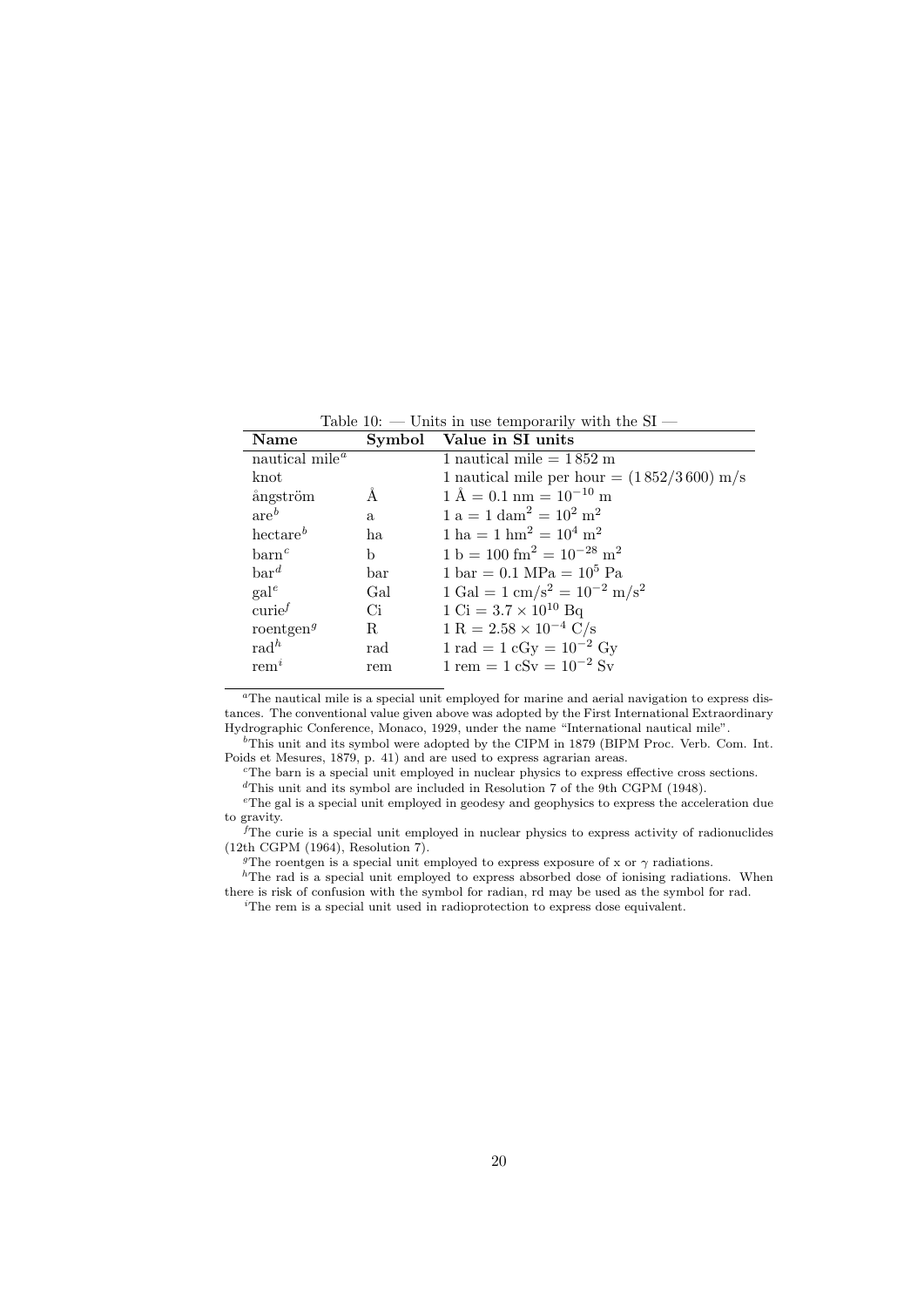| Name                                    | Symbol | Value in SI units                                          |
|-----------------------------------------|--------|------------------------------------------------------------|
| nautical mile <sup><math>a</math></sup> |        | 1 nautical mile $= 1852 \text{ m}$                         |
| knot                                    |        | 1 nautical mile per hour = $(1852/3600)$ m/s               |
| ångström                                | A      | $1 \text{ Å} = 0.1 \text{ nm} = 10^{-10} \text{ m}$        |
| $are^b$                                 | a.     | $1 a = 1 dam2 = 102 m2$                                    |
| $h$ ectare $^b$                         | ha     | $1 ha = 1 hm2 = 104 m2$                                    |
| $\text{barn}^c$                         | b      | $1 b = 100$ fm <sup>2</sup> = $10^{-28}$ m <sup>2</sup>    |
| $bar^d$                                 | bar    | $1 \text{ bar} = 0.1 \text{ MPa} = 10^5 \text{ Pa}$        |
| $\text{gal}^e$                          | Gal    | $1 \text{ Gal} = 1 \text{ cm/s}^2 = 10^{-2} \text{ m/s}^2$ |
| curie <sup>f</sup>                      | Ci     | $1 \text{ Ci} = 3.7 \times 10^{10} \text{ Bq}$             |
| roentgen <sup>g</sup>                   | R      | $1 R = 2.58 \times 10^{-4} C/s$                            |
| $\mathrm{rad}^h$                        | rad    | $1 \text{ rad} = 1 \text{ cGy} = 10^{-2} \text{ Gy}$       |
| rem <sup>i</sup>                        | rem    | $1 \text{ rem} = 1 \text{ cSv} = 10^{-2} \text{ Sv}$       |

<span id="page-19-0"></span>Table  $10<sup>1</sup>$  — Units in use temporarily with the SI —

<sup>a</sup>The nautical mile is a special unit employed for marine and aerial navigation to express distances. The conventional value given above was adopted by the First International Extraordinary Hydrographic Conference, Monaco, 1929, under the name "International nautical mile".

 $b$ This unit and its symbol were adopted by the CIPM in 1879 (BIPM Proc. Verb. Com. Int. Poids et Mesures, 1879, p. 41) and are used to express agrarian areas.

<sup>c</sup>The barn is a special unit employed in nuclear physics to express effective cross sections. <sup>d</sup>This unit and its symbol are included in Resolution 7 of the 9th CGPM (1948).

<sup>e</sup>The gal is a special unit employed in geodesy and geophysics to express the acceleration due to gravity.

 $f$ The curie is a special unit employed in nuclear physics to express activity of radionuclides (12th CGPM (1964), Resolution 7).

<sup>g</sup>The roentgen is a special unit employed to express exposure of x or  $\gamma$  radiations.

 $h$ The rad is a special unit employed to express absorbed dose of ionising radiations. When there is risk of confusion with the symbol for radian, rd may be used as the symbol for rad.

<sup>i</sup>The rem is a special unit used in radioprotection to express dose equivalent.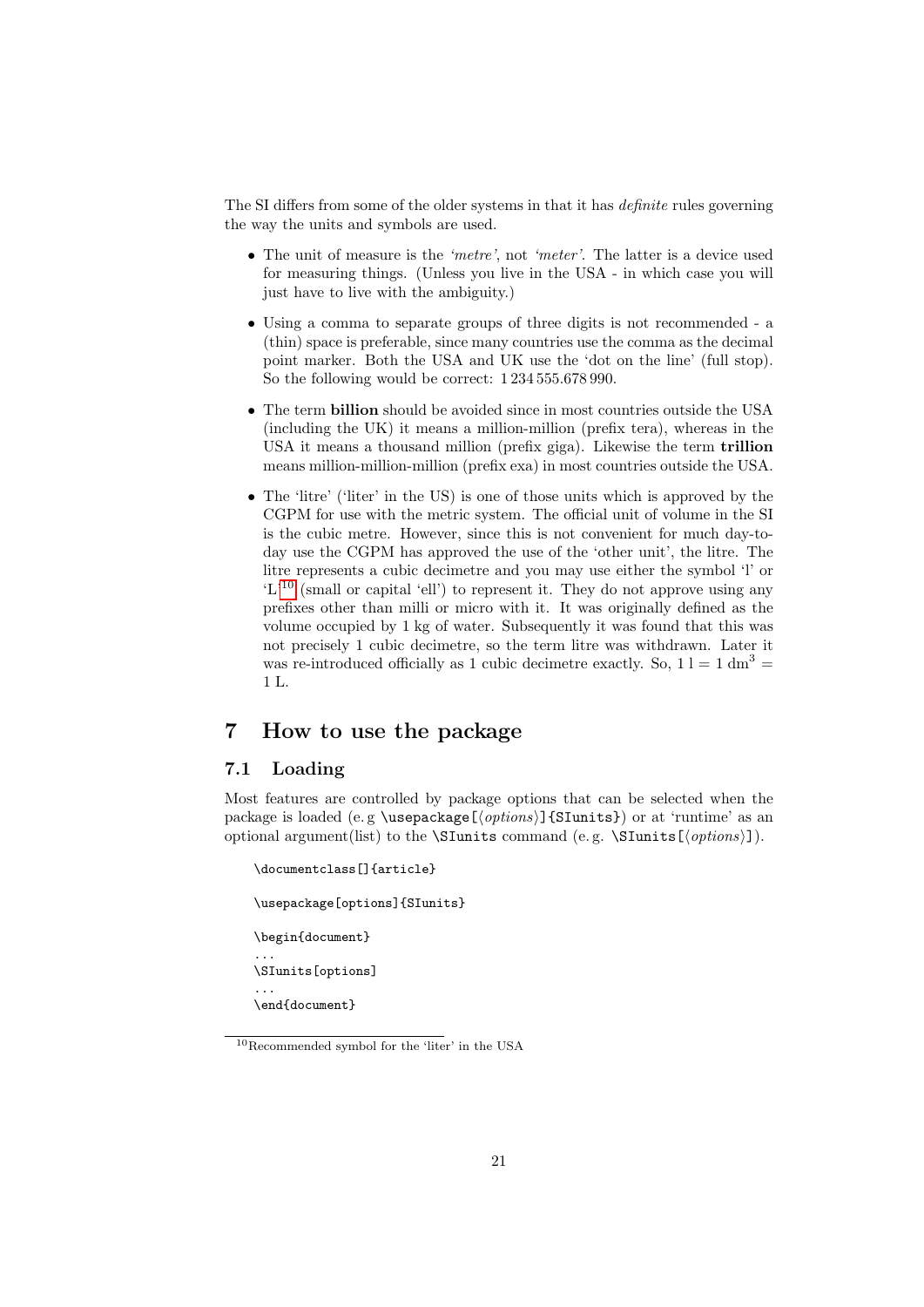The SI differs from some of the older systems in that it has definite rules governing the way the units and symbols are used.

- The unit of measure is the 'metre', not 'meter'. The latter is a device used for measuring things. (Unless you live in the USA - in which case you will just have to live with the ambiguity.)
- Using a comma to separate groups of three digits is not recommended a (thin) space is preferable, since many countries use the comma as the decimal point marker. Both the USA and UK use the 'dot on the line' (full stop). So the following would be correct: 1 234 555.678 990.
- The term billion should be avoided since in most countries outside the USA (including the UK) it means a million-million (prefix tera), whereas in the USA it means a thousand million (prefix giga). Likewise the term trillion means million-million-million (prefix exa) in most countries outside the USA.
- The 'litre' ('liter' in the US) is one of those units which is approved by the CGPM for use with the metric system. The official unit of volume in the SI is the cubic metre. However, since this is not convenient for much day-today use the CGPM has approved the use of the 'other unit', the litre. The litre represents a cubic decimetre and you may use either the symbol 'l' or  $(L<sup>10</sup>)$  $(L<sup>10</sup>)$  $(L<sup>10</sup>)$  (small or capital 'ell') to represent it. They do not approve using any prefixes other than milli or micro with it. It was originally defined as the volume occupied by 1 kg of water. Subsequently it was found that this was not precisely 1 cubic decimetre, so the term litre was withdrawn. Later it was re-introduced officially as 1 cubic decimetre exactly. So,  $1 \text{ l} = 1 \text{ dm}^3$ 1 L.

# <span id="page-20-0"></span>7 How to use the package

# <span id="page-20-1"></span>7.1 Loading

Most features are controlled by package options that can be selected when the package is loaded (e.g \usepackage[ $\{options\}$ ] {SIunits}) or at 'runtime' as an optional argument(list) to the **\SIunits** command (e.g. **\SIunits**[ $\langle options\rangle$ ]).

```
\documentclass[]{article}
\usepackage[options]{SIunits}
\begin{document}
...
\SIunits[options]
...
\end{document}
```
<span id="page-20-2"></span><sup>10</sup>Recommended symbol for the 'liter' in the USA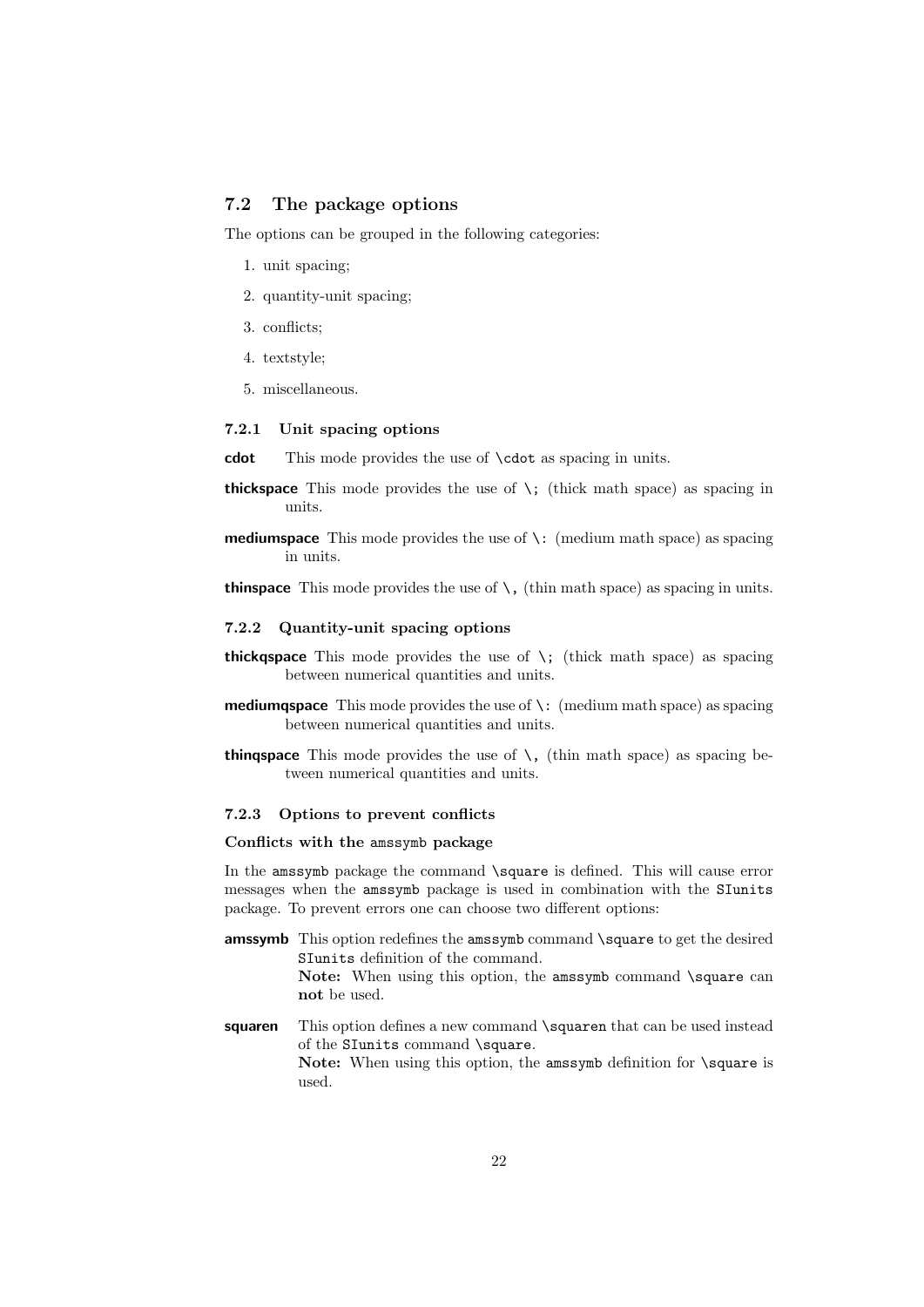# <span id="page-21-0"></span>7.2 The package options

The options can be grouped in the following categories:

- 1. unit spacing;
- 2. quantity-unit spacing;
- 3. conflicts;
- 4. textstyle;
- 5. miscellaneous.

### <span id="page-21-1"></span>7.2.1 Unit spacing options

cdot This mode provides the use of **\cdot** as spacing in units.

- **thickspace** This mode provides the use of  $\backslash$ ; (thick math space) as spacing in units.
- **mediumspace** This mode provides the use of  $\cdot$ : (medium math space) as spacing in units.
- **thinspace** This mode provides the use of  $\setminus$ , (thin math space) as spacing in units.

### <span id="page-21-2"></span>7.2.2 Quantity-unit spacing options

- thickgspace This mode provides the use of  $\lambda$ ; (thick math space) as spacing between numerical quantities and units.
- **mediumqspace** This mode provides the use of  $\backslash$ : (medium math space) as spacing between numerical quantities and units.
- **thingspace** This mode provides the use of  $\lambda$ , (thin math space) as spacing between numerical quantities and units.

### <span id="page-21-3"></span>7.2.3 Options to prevent conflicts

# Conflicts with the amssymb package

In the amssymb package the command \square is defined. This will cause error messages when the amssymb package is used in combination with the SIunits package. To prevent errors one can choose two different options:

- amssymb This option redefines the amssymb command \square to get the desired SIunits definition of the command. Note: When using this option, the amssymb command \square can not be used.
- squaren This option defines a new command \squaren that can be used instead of the SIunits command \square.

Note: When using this option, the amssymb definition for \square is used.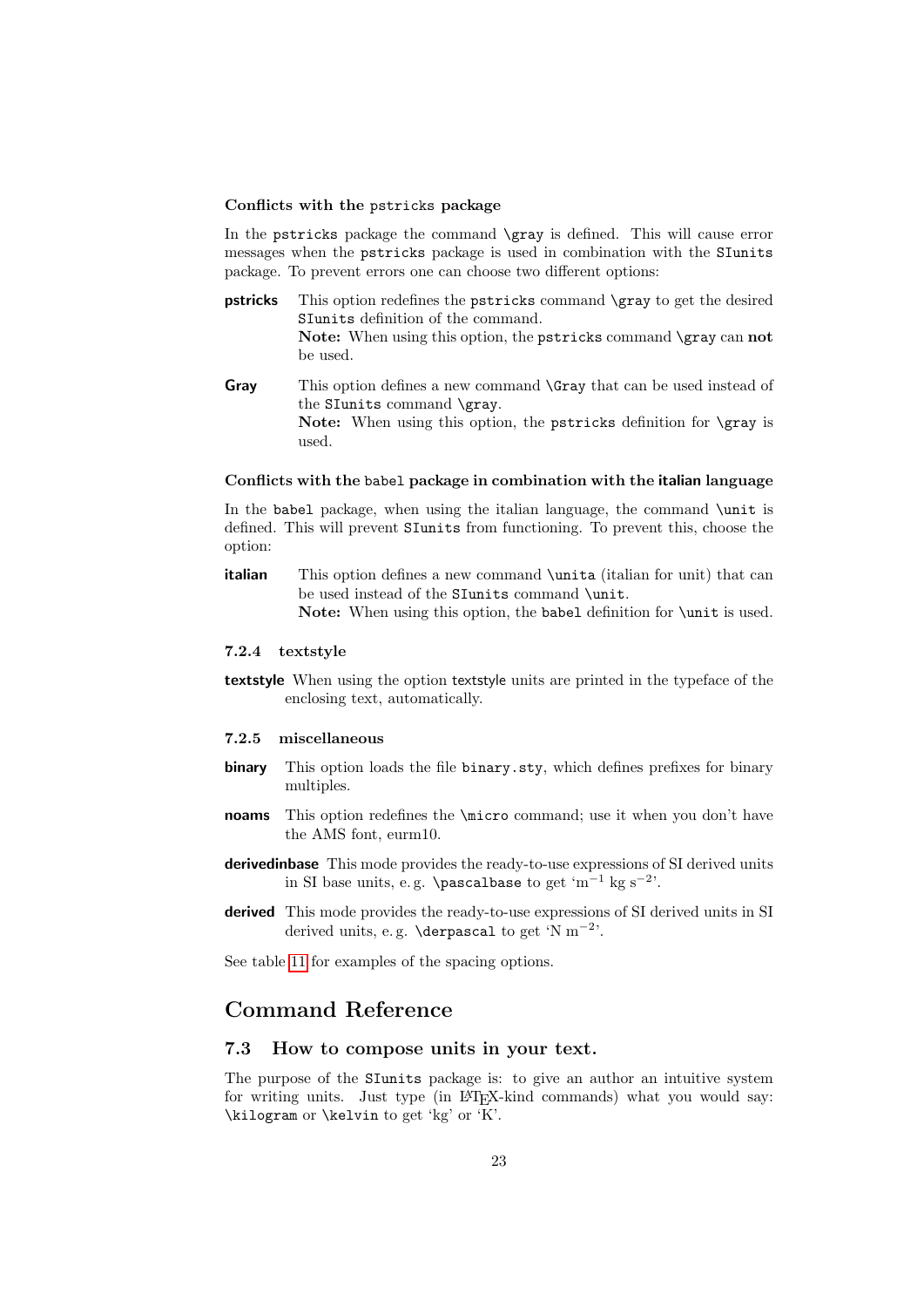#### Conflicts with the pstricks package

In the pstricks package the command \gray is defined. This will cause error messages when the pstricks package is used in combination with the SIunits package. To prevent errors one can choose two different options:

- pstricks This option redefines the pstricks command \gray to get the desired SIunits definition of the command. Note: When using this option, the pstricks command \gray can not be used.
- Gray This option defines a new command **\Gray** that can be used instead of the SIunits command \gray. Note: When using this option, the pstricks definition for \gray is used.

#### Conflicts with the babel package in combination with the italian language

In the babel package, when using the italian language, the command \unit is defined. This will prevent SIunits from functioning. To prevent this, choose the option:

**italian** This option defines a new command \unita (italian for unit) that can be used instead of the SIunits command \unit. Note: When using this option, the babel definition for \unit is used.

### <span id="page-22-0"></span>7.2.4 textstyle

textstyle When using the option textstyle units are printed in the typeface of the enclosing text, automatically.

### <span id="page-22-1"></span>7.2.5 miscellaneous

- binary This option loads the file binary.sty, which defines prefixes for binary multiples.
- noams This option redefines the *\micro* command; use it when you don't have the AMS font, eurm10.
- derivedinbase This mode provides the ready-to-use expressions of SI derived units in SI base units, e.g. **\pascalbase** to get 'm<sup>-1</sup> kg s<sup>-2</sup>'.
- derived This mode provides the ready-to-use expressions of SI derived units in SI derived units, e.g.  $\derpa{set}$  to get 'N m<sup>-2</sup>'.

See table [11](#page-23-1) for examples of the spacing options.

# Command Reference

### <span id="page-22-2"></span>7.3 How to compose units in your text.

The purpose of the SIunits package is: to give an author an intuitive system for writing units. Just type (in LATEX-kind commands) what you would say: \kilogram or \kelvin to get 'kg' or 'K'.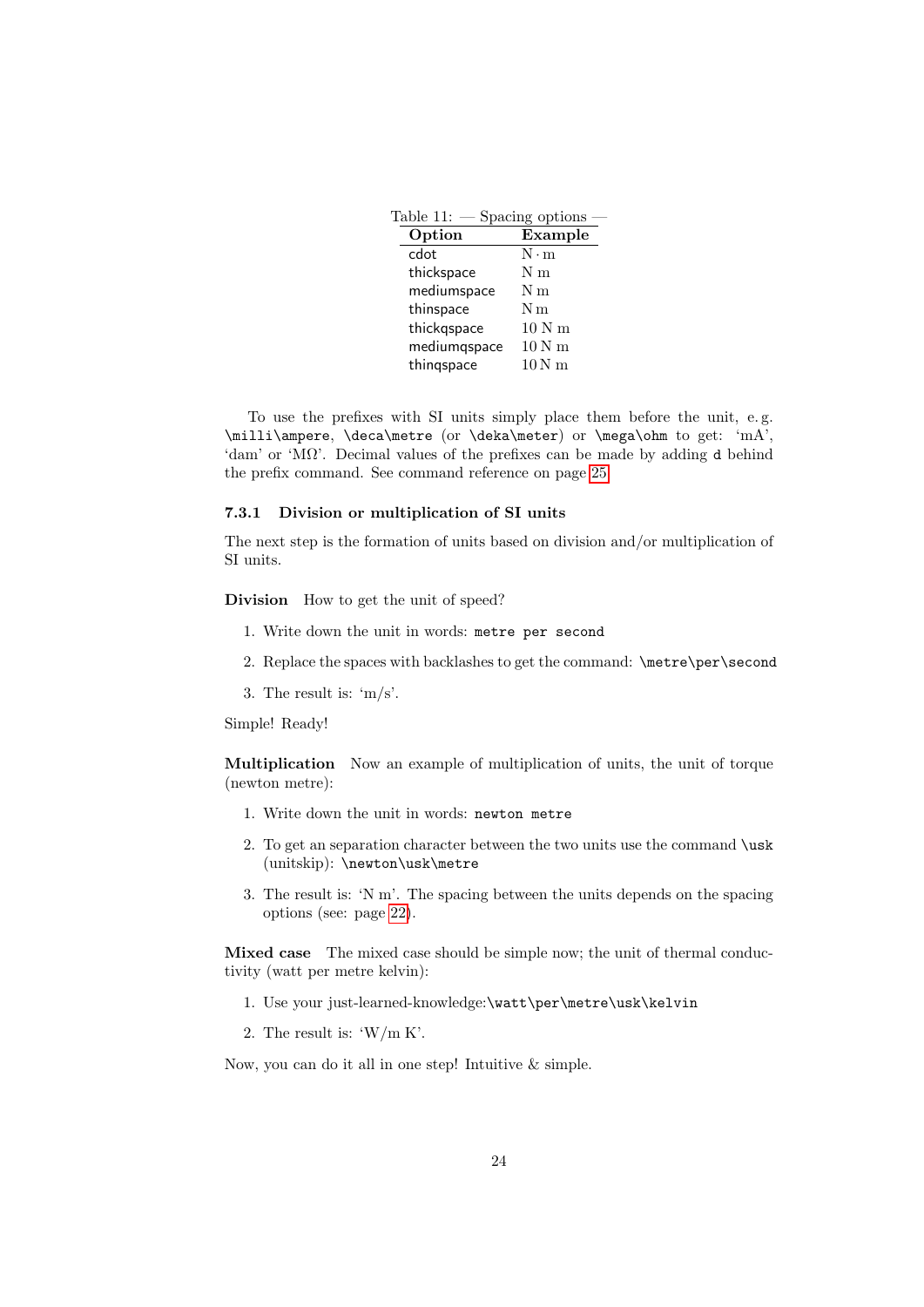<span id="page-23-1"></span>

| Table 11: -  | Spacing options             |
|--------------|-----------------------------|
| Option       | $\overline{\text{Example}}$ |
| cdot         | $N \cdot m$                 |
| thickspace   | N m                         |
| mediumspace  | N m                         |
| thinspace    | N <sub>m</sub>              |
| thickgspace  | 10 N m                      |
| mediumqspace | 10 N m                      |
| thingspace   | $10N$ m                     |
|              |                             |

To use the prefixes with SI units simply place them before the unit, e. g. \milli\ampere, \deca\metre (or \deka\meter) or \mega\ohm to get: 'mA', 'dam' or 'MΩ'. Decimal values of the prefixes can be made by adding d behind the prefix command. See command reference on page [25.](#page-22-2)

#### <span id="page-23-0"></span>7.3.1 Division or multiplication of SI units

The next step is the formation of units based on division and/or multiplication of SI units.

Division How to get the unit of speed?

- 1. Write down the unit in words: metre per second
- 2. Replace the spaces with backlashes to get the command: \metre\per\second
- 3. The result is: 'm/s'.

Simple! Ready!

Multiplication Now an example of multiplication of units, the unit of torque (newton metre):

- 1. Write down the unit in words: newton metre
- 2. To get an separation character between the two units use the command \usk (unitskip): \newton\usk\metre
- 3. The result is: 'N m'. The spacing between the units depends on the spacing options (see: page [22\)](#page-21-0).

Mixed case The mixed case should be simple now; the unit of thermal conductivity (watt per metre kelvin):

- 1. Use your just-learned-knowledge:\watt\per\metre\usk\kelvin
- 2. The result is: 'W/m K'.

Now, you can do it all in one step! Intuitive & simple.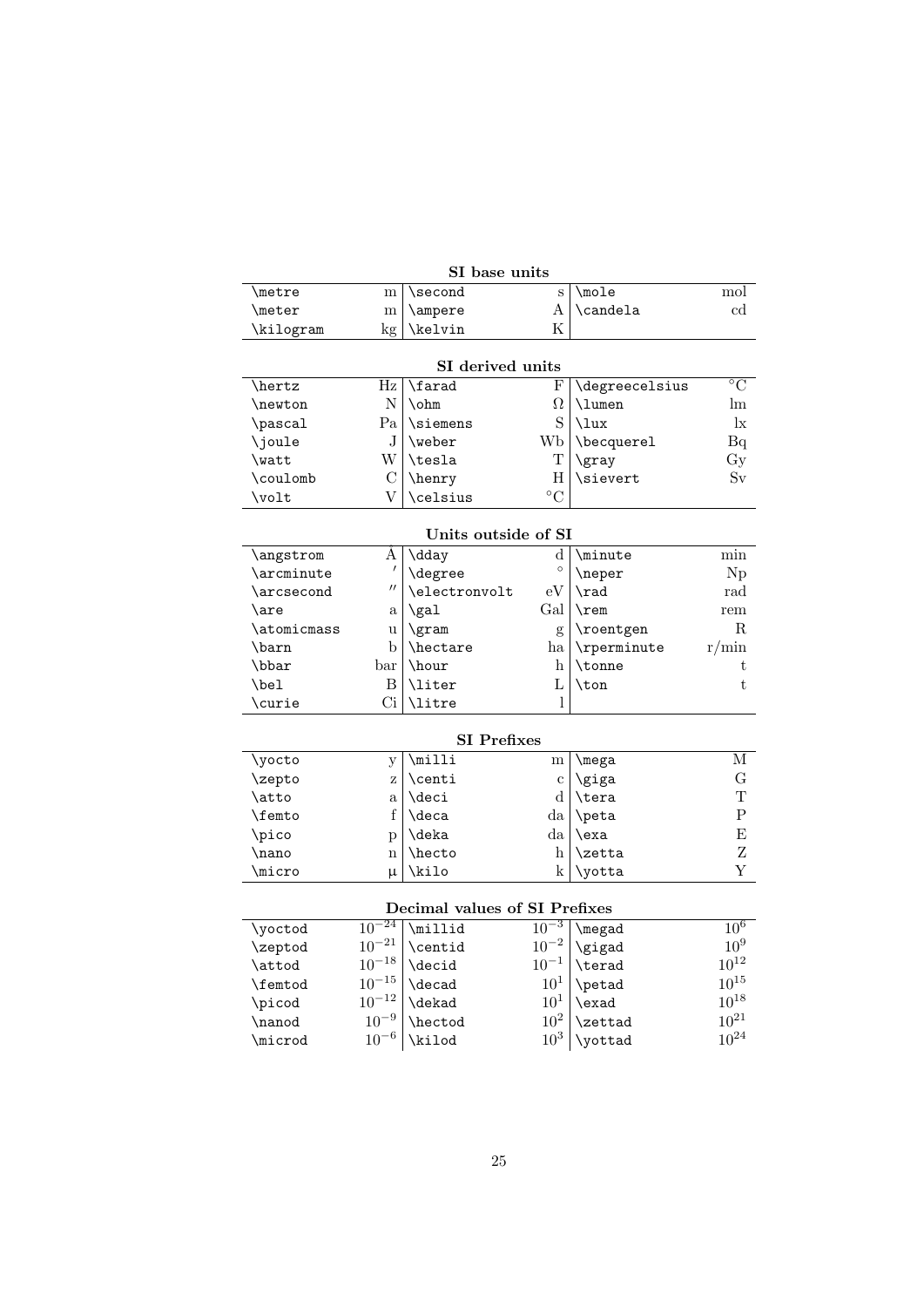| SI base units                 |                     |                          |                 |                |                 |
|-------------------------------|---------------------|--------------------------|-----------------|----------------|-----------------|
| \metre                        | m                   | \second                  | S               | $\sqrt{mode}$  | mol             |
| \meter                        | m                   | \ampere                  | А               | \candela       | $_{\rm cd}$     |
| \kilogram                     | kg                  | \kelvin                  | Κ               |                |                 |
|                               |                     |                          |                 |                |                 |
|                               |                     | SI derived units         |                 |                |                 |
| \hertz                        | Hz                  | \farad                   | F               | \degreecelsius | $\overline{C}$  |
| \newton                       | Ν                   | \ohm                     | Ω               | \lumen         | $\ln$           |
| \pascal                       | Pa                  | \siemens                 | S               | \lux           | $\mathbf{I}$    |
| \joule                        | J                   | \weber                   | Wb              | \becquerel     | Bq              |
| \watt                         | W                   | \tesla                   | т               | \gray          | $\rm Gy$        |
| \coulomb                      | $\mathcal{C}$       | \henry                   | $\rm H$         | \sievert       | Sv              |
| \volt                         | V                   | \celsius                 | $\rm ^{\circ}C$ |                |                 |
|                               |                     |                          |                 |                |                 |
|                               |                     | Units outside of SI      |                 |                |                 |
| \angstrom                     | Α                   | \dday                    | $\rm{d}$        | \minute        | min             |
| \arcminute                    | $\prime$            | \degree                  | $\circ$         | \neper         | Np              |
| \arcsecond                    | $^{\prime\prime}$   | \electronvolt            | eV              | \rad           | rad             |
| \are                          | a                   | \gal                     | Gal             | $\$ {rem}      | rem             |
| \atomicmass                   | u                   | \gram                    | g               | \roentgen      | R               |
| \barn                         | $\mathbf b$         | \hectare                 | ha              | \rperminute    | r/min           |
| \bbar                         | bar                 | \hour                    | h               | \tonne         | t               |
| \bel                          | Β                   | \liter                   | L               | \ton           | t               |
| \curie                        | Ci                  | \litre                   | 1               |                |                 |
|                               |                     |                          |                 |                |                 |
|                               |                     | <b>SI</b> Prefixes       |                 |                |                 |
| \yocto                        | y                   | $\overline{\text{mili}}$ | m               | <b>\mega</b>   | М               |
| \zepto                        | Z                   | \centi                   | $\mathbf c$     | \giga          | G               |
| \atto                         | a                   | \deci                    | d               | \tera          | т               |
| <b>\femto</b>                 | f                   | \deca                    | da              | \peta          | ${\bf P}$       |
| \pico                         | p                   | \deka                    | da              | \exa           | Ε               |
| \nano                         | $\mathbf n$         | \hecto                   | h               | <b>\zetta</b>  | Ζ               |
| <b>\micro</b>                 | μ                   | \kilo                    | k               | \yotta         | Y               |
|                               |                     |                          |                 |                |                 |
| Decimal values of SI Prefixes |                     |                          |                 |                |                 |
| \yoctod                       | $10^{-24}$          | \millid                  | $10^{-3}$       | \megad         | 10 <sup>6</sup> |
| \zeptod                       | $10^{-21}\,$        | \centid                  | $10^{-2}$       | \gigad         | 10 <sup>9</sup> |
| \attod                        | $10^{-18}$          | \decid                   | $10^{-1}$       | \terad         | $10^{12}\,$     |
| \femtod                       | $10^{-15}\,$        | \decad                   | $10^1$          | \petad         | $10^{15}$       |
| \picod                        | $10^{\mathrm{-12}}$ | \dekad                   | $10^1$          | \exad          | $10^{18}$       |
| \nanod                        | $10^{-9}$           | \hectod                  | $10^2\,$        | \zettad        | $10^{21}$       |
| \microd                       | $10^{-6}$           | \kilod                   | 10 <sup>3</sup> | \yottad        | $10^{24}$       |
|                               |                     |                          |                 |                |                 |

# SI base units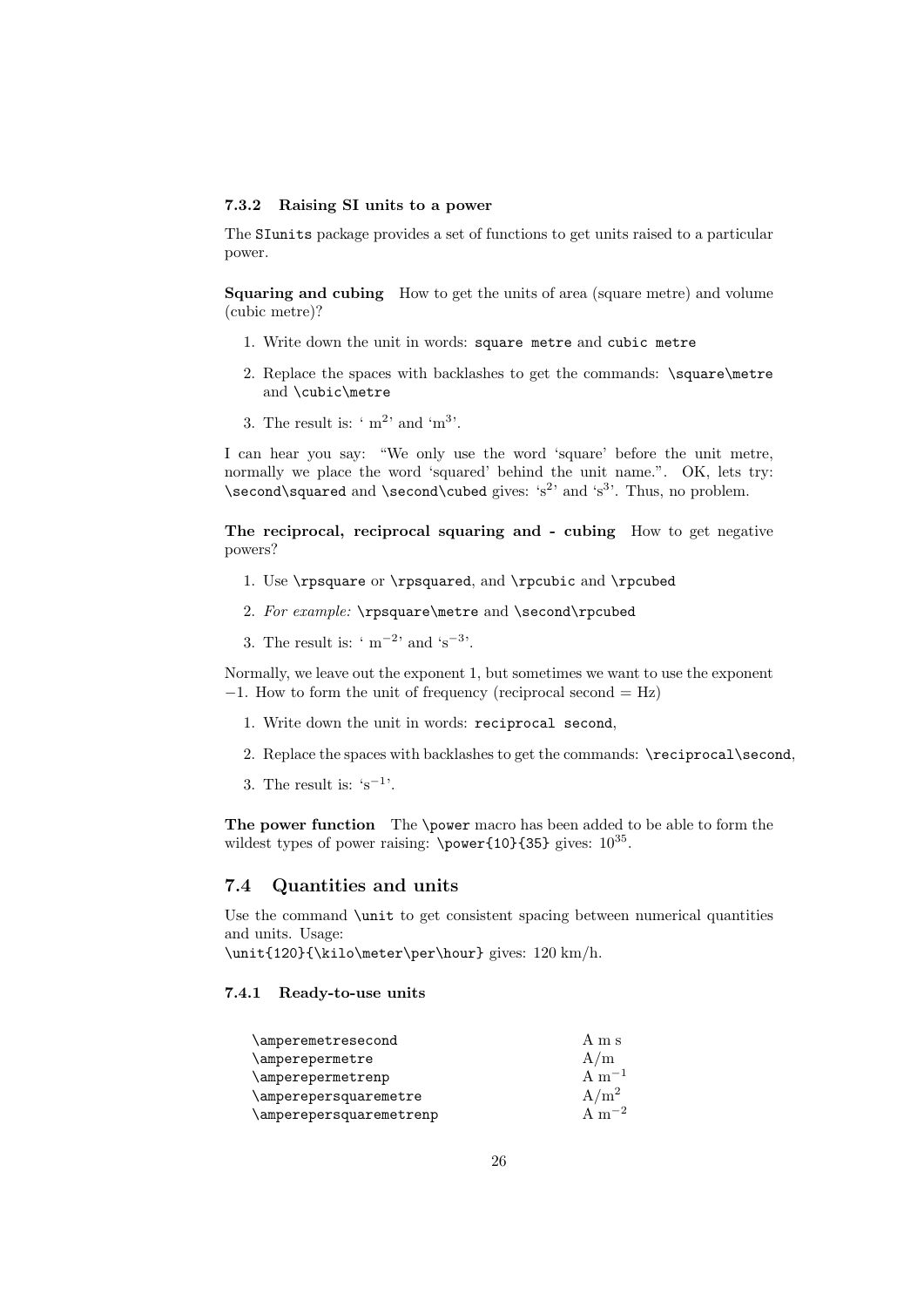### <span id="page-25-0"></span>7.3.2 Raising SI units to a power

The SIunits package provides a set of functions to get units raised to a particular power.

Squaring and cubing How to get the units of area (square metre) and volume (cubic metre)?

- 1. Write down the unit in words: square metre and cubic metre
- 2. Replace the spaces with backlashes to get the commands: \square\metre and \cubic\metre
- 3. The result is:  $\lq m^2$  and  $\lq m^3$ .

I can hear you say: "We only use the word 'square' before the unit metre, normally we place the word 'squared' behind the unit name.". OK, lets try: \second\squared and \second\cubed gives: 's<sup>2</sup>' and 's<sup>3</sup>'. Thus, no problem.

The reciprocal, reciprocal squaring and - cubing How to get negative powers?

- 1. Use \rpsquare or \rpsquared, and \rpcubic and \rpcubed
- 2. For example: \rpsquare\metre and \second\rpcubed
- 3. The result is:  $\cdot$  m<sup>-2</sup> and  $\cdot$ s<sup>-3</sup>.

Normally, we leave out the exponent 1, but sometimes we want to use the exponent −1. How to form the unit of frequency (reciprocal second = Hz)

- 1. Write down the unit in words: reciprocal second,
- 2. Replace the spaces with backlashes to get the commands: \reciprocal\second,
- 3. The result is:  $\mathsf{s}^{-1}$ .

The power function The \power macro has been added to be able to form the wildest types of power raising:  $\power{10}{35}$  gives:  $10^{35}$ .

# <span id="page-25-1"></span>7.4 Quantities and units

Use the command \unit to get consistent spacing between numerical quantities and units. Usage:

\unit{120}{\kilo\meter\per\hour} gives: 120 km/h.

### <span id="page-25-2"></span>7.4.1 Ready-to-use units

| \amperemetresecond      | A m s      |
|-------------------------|------------|
| \amperepermetre         | A/m        |
| \amperepermetrenp       | A $m^{-1}$ |
| \amperepersquaremetre   | $A/m^2$    |
| \amperepersquaremetrenp | A $m^{-2}$ |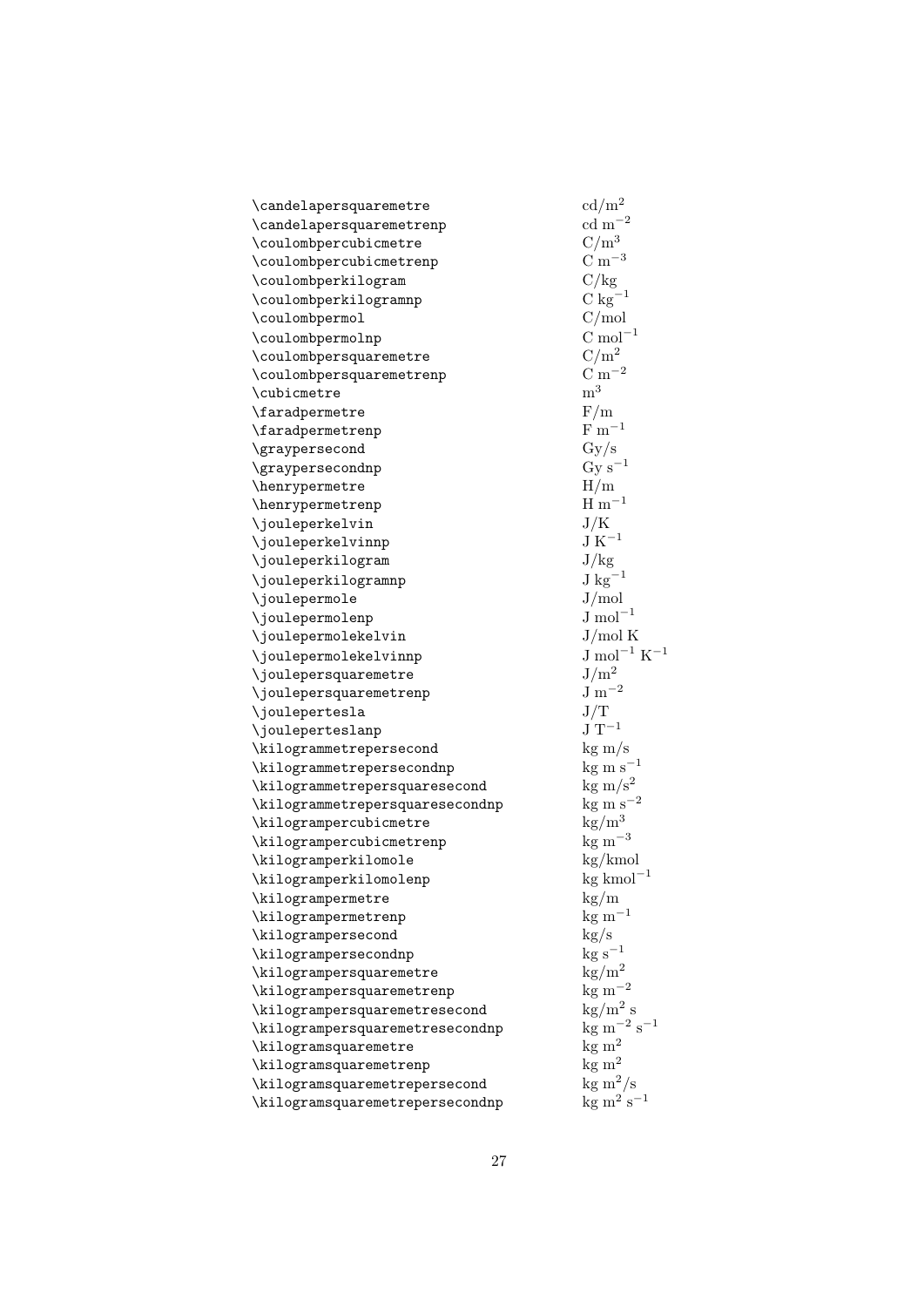| \candelapersquaremetre          | $\text{cd/m}^2$                                  |
|---------------------------------|--------------------------------------------------|
| \candelapersquaremetrenp        | $\rm{cd}~\rm{m}^{-2}$                            |
| \coulombpercubicmetre           | $C/m^3$                                          |
| \coulombpercubicmetrenp         | $\rm C~m^{-3}$                                   |
| \coulombperkilogram             | C/kg                                             |
| \coulombperkilogramnp           | $C kg^{-1}$                                      |
| \coulombpermol                  | C/mol                                            |
| \coulombpermolnp                | $\mathrm{C} \ \mathrm{mol}^{-1}$                 |
| \coulombpersquaremetre          | $C/m^2$                                          |
| \coulombpersquaremetrenp        | $\mathrm{C~m^{-2}}$                              |
| \cubicmetre                     | m <sup>3</sup>                                   |
| \faradpermetre                  | F/m                                              |
| \faradpermetrenp                | $F \, \mathrm{m}^{-1}$                           |
| \graypersecond                  | $\rm Gy/s$                                       |
| \graypersecondnp                | $\mathrm{Gy}\ \mathrm{s}^{-1}$                   |
| \henrypermetre                  | H/m                                              |
| \henrypermetrenp                | $H \, \mathrm{m}^{-1}$                           |
| \jouleperkelvin                 | J/K                                              |
| \jouleperkelvinnp               | $\rm J~K^{-1}$                                   |
| \jouleperkilogram               | J/kg                                             |
| \jouleperkilogramnp             | $\mathrm{J~kg}^{-1}$                             |
| \joulepermole                   | J/mol                                            |
| \joulepermolenp                 | $J \mod^{-1}$                                    |
| \joulepermolekelvin             | J/mol K                                          |
| \joulepermolekelvinnp           | $\mathrm{J} \mathrm{ mol}^{-1} \mathrm{ K}^{-1}$ |
| \joulepersquaremetre            | $J/m^2$                                          |
| \joulepersquaremetrenp          | $\rm J~m^{-2}$                                   |
| \joulepertesla                  | J/T                                              |
| \jouleperteslanp                | $\rm J~T^{-1}$                                   |
| \kilogrammetrepersecond         | $\text{kg m/s}$                                  |
| \kilogrammetrepersecondnp       | $kg \text{ m s}^{-1}$                            |
| \kilogrammetrepersquaresecond   | $\text{kg m/s}^2$                                |
| \kilogrammetrepersquaresecondnp | $\rm kg~m~s^{-2}$                                |
| \kilogrampercubicmetre          | $\text{kg}/\text{m}^3$                           |
| \kilogrampercubicmetrenp        | $\text{kg m}^{-3}$                               |
| \kilogramperkilomole            | kg/kmol                                          |
| \kilogramperkilomolenp          | $\text{kg}\ \text{kmol}^{-1}$                    |
| \kilogrampermetre               | kg/m                                             |
| \kilogrampermetrenp             | $\rm kg~m^{-1}$                                  |
| \kilogrampersecond              | $\rm kg/s$                                       |
| \kilogrampersecondnp            | $\rm kg~s^{-1}$                                  |
| \kilogrampersquaremetre         | $\text{kg}/\text{m}^2$                           |
| \kilogrampersquaremetrenp       | $\rm kg~m^{-2}$                                  |
| \kilogrampersquaremetresecond   | $\text{kg/m}^2$ s                                |
| \kilogrampersquaremetresecondnp | $\text{kg m}^{-2} \text{ s}^{-1}$                |
| \kilogramsquaremetre            | $kg \ m^2$                                       |
| \kilogramsquaremetrenp          | $kg \ m^2$                                       |
| \kilogramsquaremetrepersecond   | $\text{kg m}^2/\text{s}$                         |
| \kilogramsquaremetrepersecondnp | $\text{kg m}^2 \text{ s}^{-1}$                   |
|                                 |                                                  |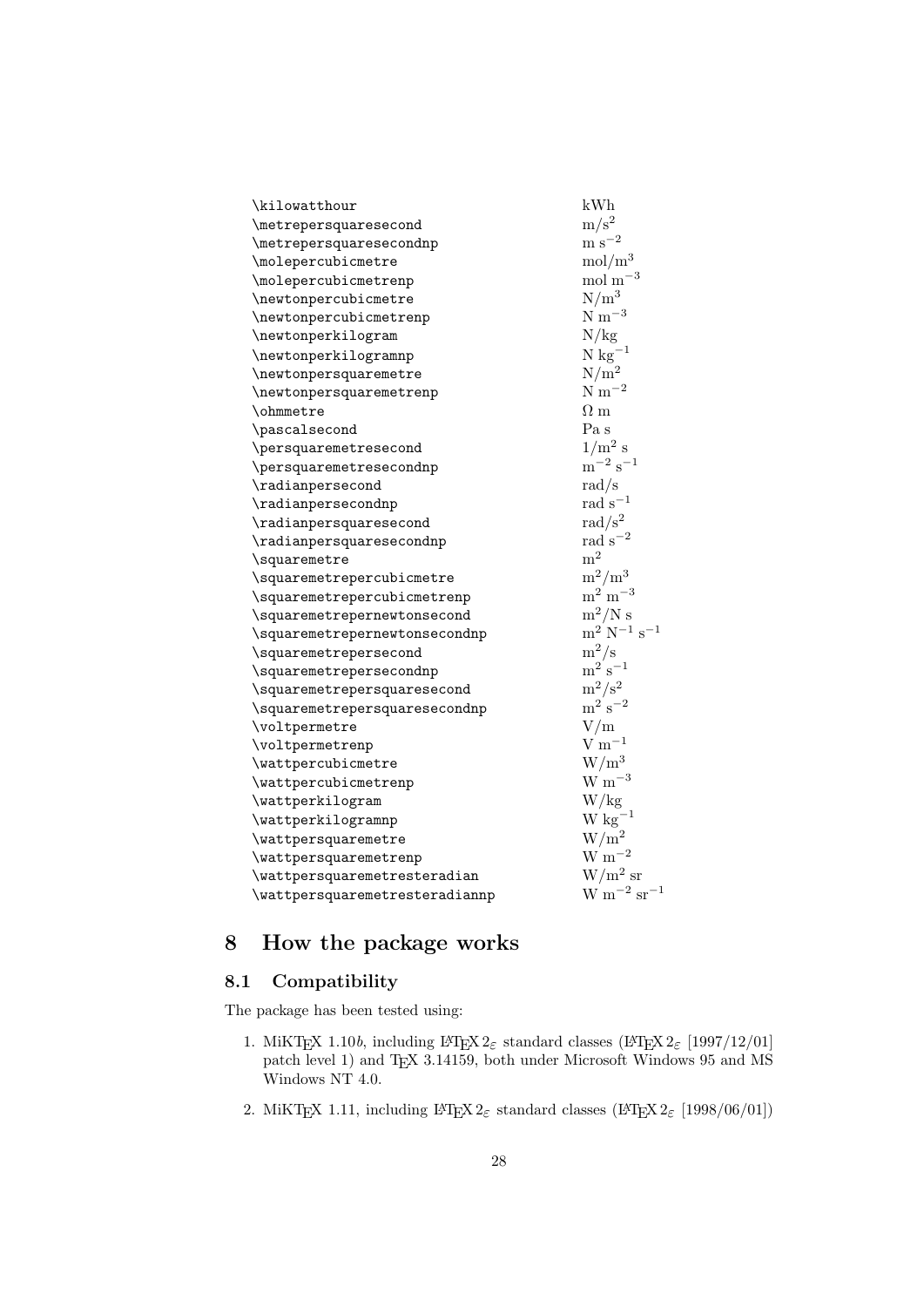| \kilowatthour                  | kWh                                            |
|--------------------------------|------------------------------------------------|
| \metrepersquaresecond          | $\mathrm{m}/\mathrm{s}^2$                      |
| \metrepersquaresecondnp        | $\mathrm{m}\;\mathrm{s}^{-2}$                  |
| \molepercubicmetre             | mol/m <sup>3</sup>                             |
| \molepercubicmetrenp           | $\mathrm{mol} \mathrm{m}^{-3}$                 |
| \newtonpercubicmetre           | $N/m^3$                                        |
| \newtonpercubicmetrenp         | $N \text{ m}^{-3}$                             |
| \newtonperkilogram             | N/kg                                           |
| \newtonperkilogramnp           | $N kg^{-1}$                                    |
| \newtonpersquaremetre          | $N/m^2$                                        |
| \newtonpersquaremetrenp        | $N \text{ m}^{-2}$                             |
| \ohmmetre                      | $\Omega$ m                                     |
| \pascalsecond                  | Pa s                                           |
| \persquaremetresecond          | $1/m^2$ s                                      |
| \persquaremetresecondnp        | $\rm m^{-2} \ s^{-1}$                          |
| \radianpersecond               | $\rm rad/s$                                    |
| \radianpersecondnp             | $\rm rad~s^{-1}$                               |
| \radianpersquaresecond         | $\rm rad/s^2$                                  |
| \radianpersquaresecondnp       | $rad s^{-2}$                                   |
| \squaremetre                   | m <sup>2</sup>                                 |
| \squaremetrepercubicmetre      | $m^2/m^3$                                      |
| \squaremetrepercubicmetrenp    | $\mathrm{m}^2\mathrm{m}^{-3}$                  |
| \squaremetrepernewtonsecond    | $\rm m^2/N$ s                                  |
| \squaremetrepernewtonsecondnp  | $\mathrm{m}^2$ N <sup>-1</sup> s <sup>-1</sup> |
| \squaremetrepersecond          | $m^2/s$                                        |
| \squaremetrepersecondnp        | $\mathrm{m^{2}\ s^{-1}}$                       |
| \squaremetrepersquaresecond    | $\mathrm{m}^2/\mathrm{s}^2$                    |
| \squaremetrepersquaresecondnp  | $\mathrm{m^{2}\;s^{-2}}$                       |
| \voltpermetre                  | V/m                                            |
| \voltpermetrenp                | $V \text{ m}^{-1}$                             |
| \wattpercubicmetre             | $W/m^3$                                        |
| \wattpercubicmetrenp           | $W~m^{-3}$                                     |
| \wattperkilogram               | W/kg                                           |
| \wattperkilogramnp             | $W kg^{-1}$                                    |
| \wattpersquaremetre            | $W/m^2$                                        |
| \wattpersquaremetrenp          | $\rm W~m^{-2}$                                 |
| \wattpersquaremetresteradian   | $W/m^2$ sr                                     |
| \wattpersquaremetresteradiannp | $\rm W~m^{-2}~sr^{-1}$                         |

# <span id="page-27-0"></span>8 How the package works

# <span id="page-27-1"></span>8.1 Compatibility

The package has been tested using:

- 1. MiKTEX 1.10b, including LATEX  $2\varepsilon$  standard classes (LATEX  $2\varepsilon$  [1997/12/01] patch level 1) and TEX 3.14159, both under Microsoft Windows 95 and MS Windows NT 4.0.
- 2. MiKTEX 1.11, including  $L^2E \times 2\varepsilon$  standard classes ( $L^2E \times 2\varepsilon$  [1998/06/01])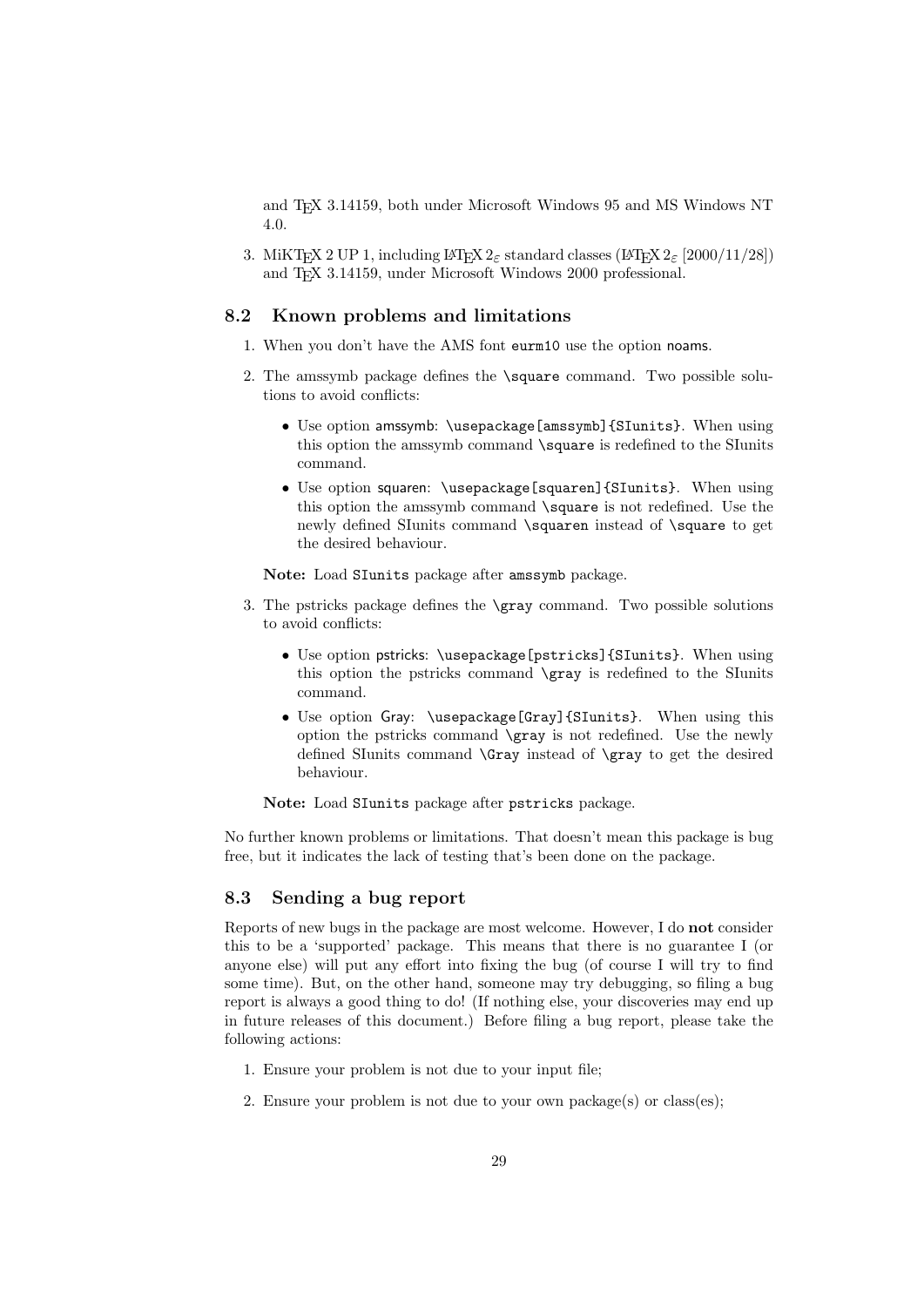and TEX 3.14159, both under Microsoft Windows 95 and MS Windows NT 4.0.

3. MiKTEX 2 UP 1, including LATEX  $2_{\varepsilon}$  standard classes (LATEX  $2_{\varepsilon}$  [2000/11/28]) and T<sub>EX</sub> 3.14159, under Microsoft Windows 2000 professional.

# <span id="page-28-0"></span>8.2 Known problems and limitations

- 1. When you don't have the AMS font eurm10 use the option noams.
- 2. The amssymb package defines the \square command. Two possible solutions to avoid conflicts:
	- Use option amssymb: \usepackage[amssymb]{SIunits}. When using this option the amssymb command \square is redefined to the SIunits command.
	- Use option squaren: \usepackage[squaren]{SIunits}. When using this option the amssymb command \square is not redefined. Use the newly defined SIunits command \squaren instead of \square to get the desired behaviour.

Note: Load SIunits package after amssymb package.

- 3. The pstricks package defines the \gray command. Two possible solutions to avoid conflicts:
	- Use option pstricks: \usepackage[pstricks]{SIunits}. When using this option the pstricks command \gray is redefined to the SIunits command.
	- Use option Gray: \usepackage[Gray]{SIunits}. When using this option the pstricks command \gray is not redefined. Use the newly defined SIunits command \Gray instead of \gray to get the desired behaviour.

Note: Load SIunits package after pstricks package.

No further known problems or limitations. That doesn't mean this package is bug free, but it indicates the lack of testing that's been done on the package.

# <span id="page-28-1"></span>8.3 Sending a bug report

Reports of new bugs in the package are most welcome. However, I do not consider this to be a 'supported' package. This means that there is no guarantee I (or anyone else) will put any effort into fixing the bug (of course I will try to find some time). But, on the other hand, someone may try debugging, so filing a bug report is always a good thing to do! (If nothing else, your discoveries may end up in future releases of this document.) Before filing a bug report, please take the following actions:

- 1. Ensure your problem is not due to your input file;
- 2. Ensure your problem is not due to your own package(s) or class(es);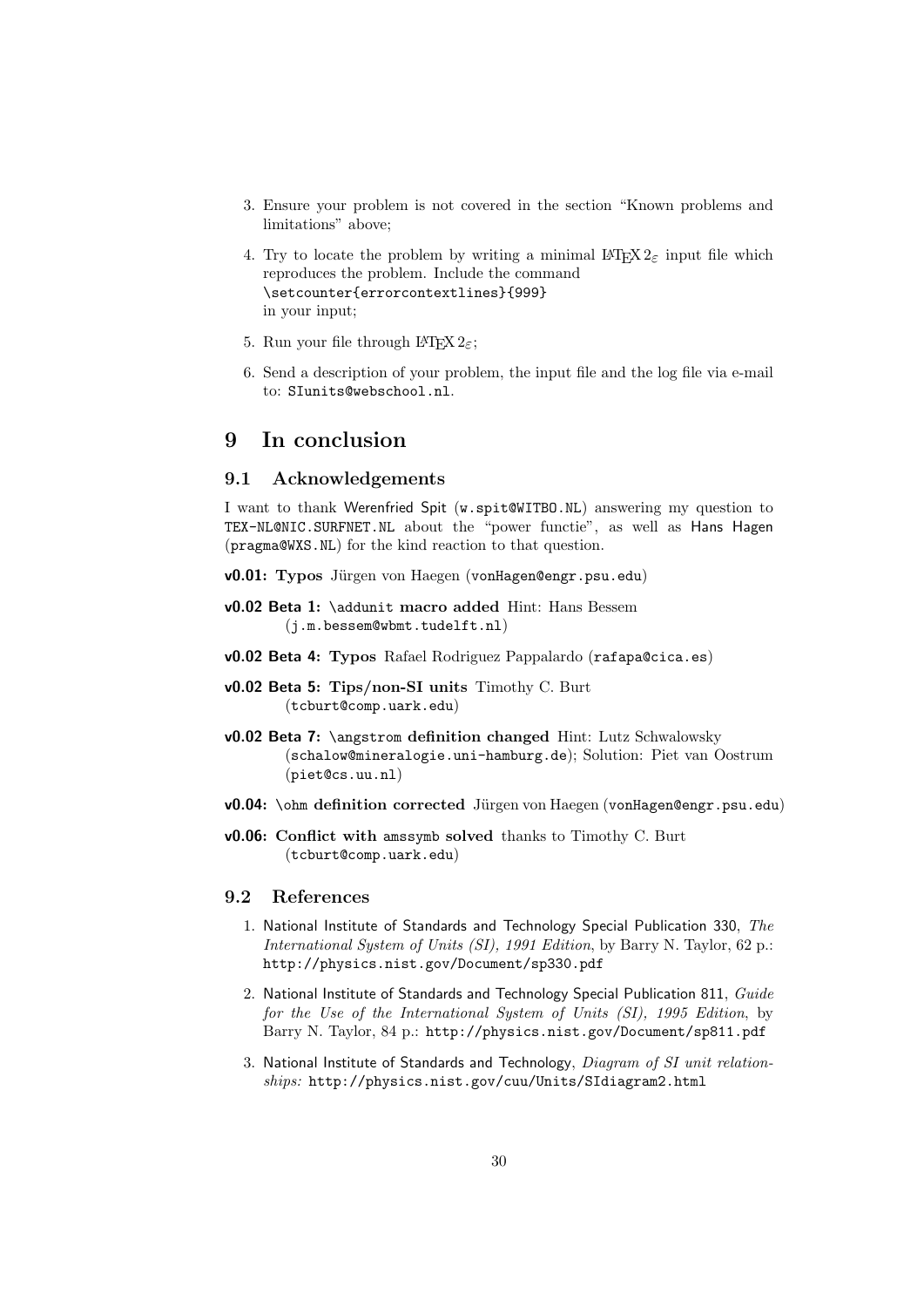- 3. Ensure your problem is not covered in the section "Known problems and limitations" above;
- 4. Try to locate the problem by writing a minimal  $\text{LATEX} 2_{\epsilon}$  input file which reproduces the problem. Include the command \setcounter{errorcontextlines}{999} in your input;
- 5. Run your file through LAT<sub>E</sub>X  $2_{\epsilon}$ ;
- 6. Send a description of your problem, the input file and the log file via e-mail to: SIunits@webschool.nl.

# <span id="page-29-0"></span>9 In conclusion

### <span id="page-29-1"></span>9.1 Acknowledgements

I want to thank Werenfried Spit (w.spit@WITBO.NL) answering my question to TEX-NL@NIC.SURFNET.NL about the "power functie", as well as Hans Hagen (pragma@WXS.NL) for the kind reaction to that question.

- v0.01: Typos Jürgen von Haegen (vonHagen@engr.psu.edu)
- v0.02 Beta 1: \addunit macro added Hint: Hans Bessem (j.m.bessem@wbmt.tudelft.nl)
- v0.02 Beta 4: Typos Rafael Rodriguez Pappalardo (rafapa@cica.es)
- v0.02 Beta 5: Tips/non-SI units Timothy C. Burt (tcburt@comp.uark.edu)
- v0.02 Beta 7: \angstrom definition changed Hint: Lutz Schwalowsky (schalow@mineralogie.uni-hamburg.de); Solution: Piet van Oostrum (piet@cs.uu.nl)
- v0.04: \ohm definition corrected Jürgen von Haegen (vonHagen@engr.psu.edu)
- v0.06: Conflict with amssymb solved thanks to Timothy C. Burt (tcburt@comp.uark.edu)

### <span id="page-29-2"></span>9.2 References

- 1. National Institute of Standards and Technology Special Publication 330, The International System of Units (SI), 1991 Edition, by Barry N. Taylor, 62 p.: http://physics.nist.gov/Document/sp330.pdf
- 2. National Institute of Standards and Technology Special Publication 811, Guide for the Use of the International System of Units (SI), 1995 Edition, by Barry N. Taylor, 84 p.: http://physics.nist.gov/Document/sp811.pdf
- 3. National Institute of Standards and Technology, Diagram of SI unit relationships: http://physics.nist.gov/cuu/Units/SIdiagram2.html